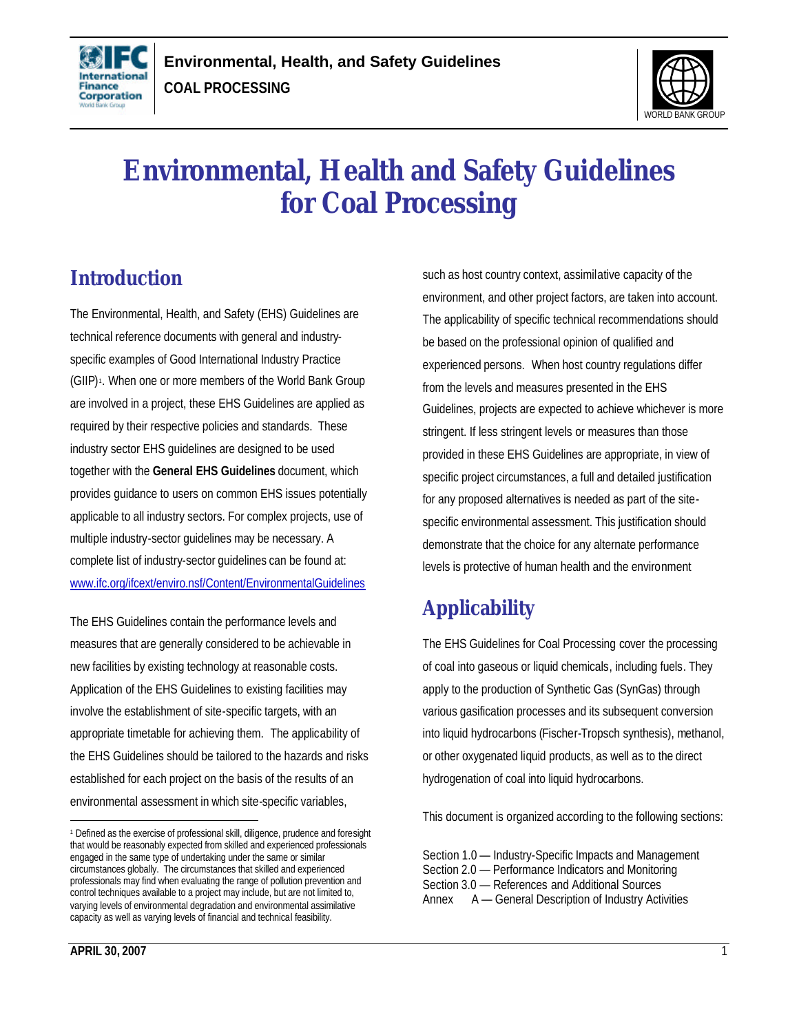



# **Environmental, Health and Safety Guidelines for Coal Processing**

 $\overline{a}$ 

# **Introduction**

The Environmental, Health, and Safety (EHS) Guidelines are technical reference documents with general and industryspecific examples of Good International Industry Practice (GIIP) 1 . When one or more members of the World Bank Group are involved in a project, these EHS Guidelines are applied as required by their respective policies and standards. These industry sector EHS guidelines are designed to be used together with the **General EHS Guidelines** document, which provides guidance to users on common EHS issues potentially applicable to all industry sectors. For complex projects, use of multiple industry-sector guidelines may be necessary. A complete list of industry-sector guidelines can be found at: www.ifc.org/ifcext/enviro.nsf/Content/EnvironmentalGuidelines

The EHS Guidelines contain the performance levels and measures that are generally considered to be achievable in new facilities by existing technology at reasonable costs. Application of the EHS Guidelines to existing facilities may involve the establishment of site-specific targets, with an appropriate timetable for achieving them. The applicability of the EHS Guidelines should be tailored to the hazards and risks established for each project on the basis of the results of an environmental assessment in which site-specific variables,

such as host country context, assimilative capacity of the environment, and other project factors, are taken into account. The applicability of specific technical recommendations should be based on the professional opinion of qualified and experienced persons. When host country regulations differ from the levels and measures presented in the EHS Guidelines, projects are expected to achieve whichever is more stringent. If less stringent levels or measures than those provided in these EHS Guidelines are appropriate, in view of specific project circumstances, a full and detailed justification for any proposed alternatives is needed as part of the sitespecific environmental assessment. This justification should demonstrate that the choice for any alternate performance levels is protective of human health and the environment

# **Applicability**

The EHS Guidelines for Coal Processing cover the processing of coal into gaseous or liquid chemicals, including fuels. They apply to the production of Synthetic Gas (SynGas) through various gasification processes and its subsequent conversion into liquid hydrocarbons (Fischer-Tropsch synthesis), methanol, or other oxygenated liquid products, as well as to the direct hydrogenation of coal into liquid hydrocarbons.

This document is organized according to the following sections:

 $\overline{a}$ 

<sup>1</sup> Defined as the exercise of professional skill, diligence, prudence and foresight that would be reasonably expected from skilled and experienced professionals engaged in the same type of undertaking under the same or similar circumstances globally. The circumstances that skilled and experienced professionals may find when evaluating the range of pollution prevention and control techniques available to a project may include, but are not limited to, varying levels of environmental degradation and environmental assimilative capacity as well as varying levels of financial and technical feasibility.

Section 1.0 — Industry-Specific Impacts and Management Section 2.0 — Performance Indicators and Monitoring Section 3.0 — References and Additional Sources Annex A — General Description of Industry Activities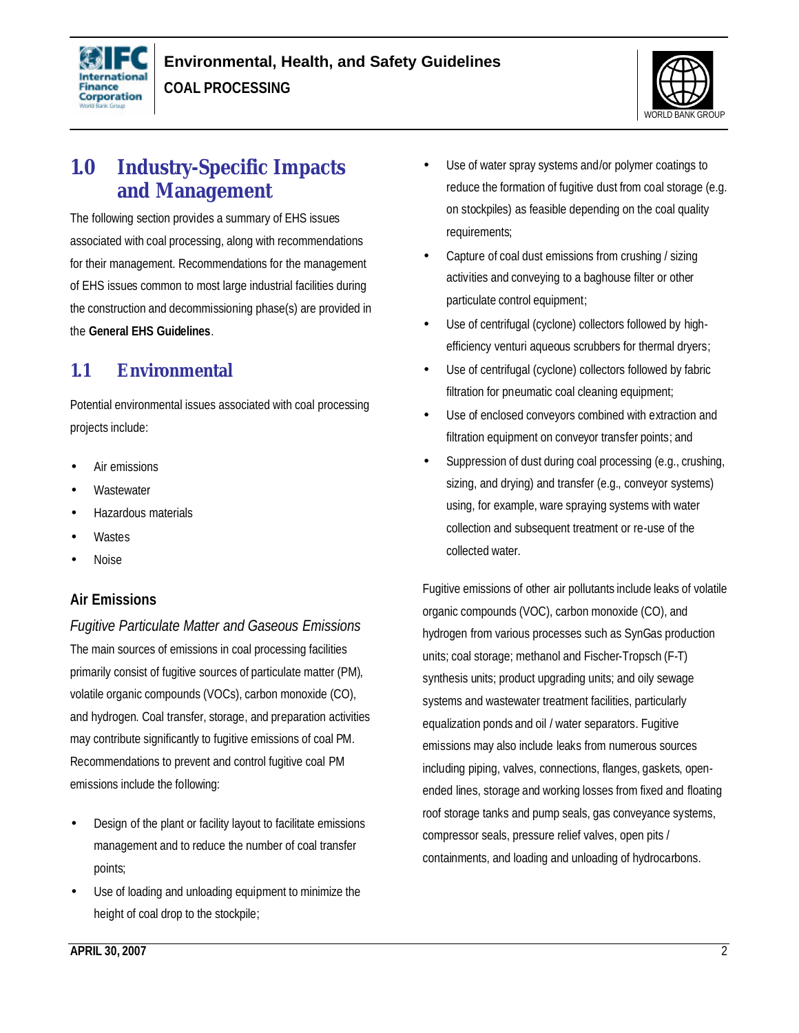



# **1.0 Industry-Specific Impacts and Management**

The following section provides a summary of EHS issues associated with coal processing, along with recommendations for their management. Recommendations for the management of EHS issues common to most large industrial facilities during the construction and decommissioning phase(s) are provided in the **General EHS Guidelines**.

### **1.1 Environmental**

Potential environmental issues associated with coal processing projects include:

- Air emissions
- **Wastewater**
- Hazardous materials
- **Wastes**
- Noise

### **Air Emissions**

*Fugitive Particulate Matter and Gaseous Emissions* The main sources of emissions in coal processing facilities primarily consist of fugitive sources of particulate matter (PM), volatile organic compounds (VOCs), carbon monoxide (CO), and hydrogen. Coal transfer, storage, and preparation activities may contribute significantly to fugitive emissions of coal PM. Recommendations to prevent and control fugitive coal PM emissions include the following:

- Design of the plant or facility layout to facilitate emissions management and to reduce the number of coal transfer points;
- Use of loading and unloading equipment to minimize the height of coal drop to the stockpile;
- Use of water spray systems and/or polymer coatings to reduce the formation of fugitive dust from coal storage (e.g. on stockpiles) as feasible depending on the coal quality requirements;
- Capture of coal dust emissions from crushing / sizing activities and conveying to a baghouse filter or other particulate control equipment;
- Use of centrifugal (cyclone) collectors followed by highefficiency venturi aqueous scrubbers for thermal dryers;
- Use of centrifugal (cyclone) collectors followed by fabric filtration for pneumatic coal cleaning equipment;
- Use of enclosed conveyors combined with extraction and filtration equipment on conveyor transfer points; and
- Suppression of dust during coal processing (e.g., crushing, sizing, and drying) and transfer (e.g., conveyor systems) using, for example, ware spraying systems with water collection and subsequent treatment or re-use of the collected water.

Fugitive emissions of other air pollutants include leaks of volatile organic compounds (VOC), carbon monoxide (CO), and hydrogen from various processes such as SynGas production units; coal storage; methanol and Fischer-Tropsch (F-T) synthesis units; product upgrading units; and oily sewage systems and wastewater treatment facilities, particularly equalization ponds and oil / water separators. Fugitive emissions may also include leaks from numerous sources including piping, valves, connections, flanges, gaskets, openended lines, storage and working losses from fixed and floating roof storage tanks and pump seals, gas conveyance systems, compressor seals, pressure relief valves, open pits / containments, and loading and unloading of hydrocarbons.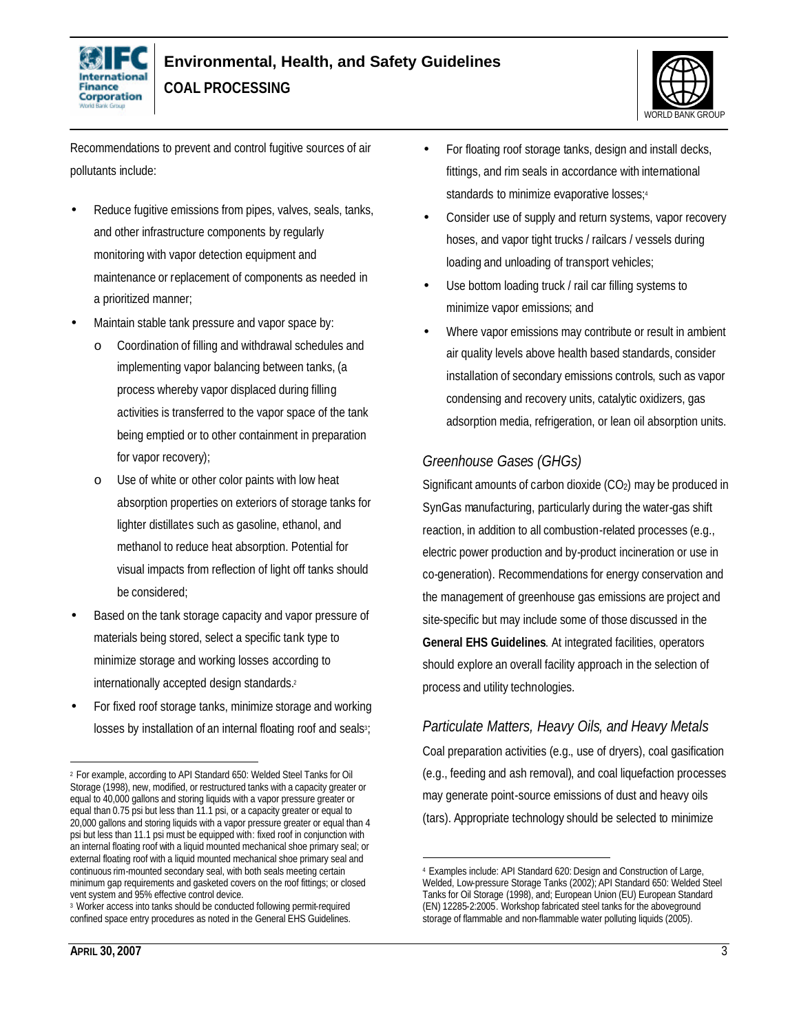



Recommendations to prevent and control fugitive sources of air pollutants include:

- Reduce fugitive emissions from pipes, valves, seals, tanks, and other infrastructure components by regularly monitoring with vapor detection equipment and maintenance or replacement of components as needed in a prioritized manner;
- Maintain stable tank pressure and vapor space by:
	- o Coordination of filling and withdrawal schedules and implementing vapor balancing between tanks, (a process whereby vapor displaced during filling activities is transferred to the vapor space of the tank being emptied or to other containment in preparation for vapor recovery);
	- o Use of white or other color paints with low heat absorption properties on exteriors of storage tanks for lighter distillates such as gasoline, ethanol, and methanol to reduce heat absorption. Potential for visual impacts from reflection of light off tanks should be considered;
- Based on the tank storage capacity and vapor pressure of materials being stored, select a specific tank type to minimize storage and working losses according to internationally accepted design standards.<sup>2</sup>
- For fixed roof storage tanks, minimize storage and working losses by installation of an internal floating roof and seals<sup>3</sup>;
- For floating roof storage tanks, design and install decks, fittings, and rim seals in accordance with international standards to minimize evaporative losses;4
- Consider use of supply and return systems, vapor recovery hoses, and vapor tight trucks / railcars / vessels during loading and unloading of transport vehicles;
- Use bottom loading truck / rail car filling systems to minimize vapor emissions; and
- Where vapor emissions may contribute or result in ambient air quality levels above health based standards, consider installation of secondary emissions controls, such as vapor condensing and recovery units, catalytic oxidizers, gas adsorption media, refrigeration, or lean oil absorption units.

### *Greenhouse Gases (GHGs)*

Significant amounts of carbon dioxide  $(CO<sub>2</sub>)$  may be produced in SynGas manufacturing, particularly during the water-gas shift reaction, in addition to all combustion-related processes (e.g., electric power production and by-product incineration or use in co-generation). Recommendations for energy conservation and the management of greenhouse gas emissions are project and site-specific but may include some of those discussed in the **General EHS Guidelines**. At integrated facilities, operators should explore an overall facility approach in the selection of process and utility technologies.

### *Particulate Matters, Heavy Oils, and Heavy Metals*

Coal preparation activities (e.g., use of dryers), coal gasification (e.g., feeding and ash removal), and coal liquefaction processes may generate point-source emissions of dust and heavy oils (tars). Appropriate technology should be selected to minimize

 $\overline{a}$ <sup>2</sup> For example, according to API Standard 650: Welded Steel Tanks for Oil Storage (1998), new, modified, or restructured tanks with a capacity greater or equal to 40,000 gallons and storing liquids with a vapor pressure greater or equal than 0.75 psi but less than 11.1 psi, or a capacity greater or equal to 20,000 gallons and storing liquids with a vapor pressure greater or equal than 4 psi but less than 11.1 psi must be equipped with: fixed roof in conjunction with an internal floating roof with a liquid mounted mechanical shoe primary seal; or external floating roof with a liquid mounted mechanical shoe primary seal and continuous rim-mounted secondary seal, with both seals meeting certain minimum gap requirements and gasketed covers on the roof fittings; or closed vent system and 95% effective control device.

<sup>3</sup> Worker access into tanks should be conducted following permit-required confined space entry procedures as noted in the General EHS Guidelines.

<sup>1</sup> <sup>4</sup> Examples include: API Standard 620: Design and Construction of Large, Welded, Low-pressure Storage Tanks (2002); API Standard 650: Welded Steel Tanks for Oil Storage (1998), and; European Union (EU) European Standard (EN) 12285-2:2005. Workshop fabricated steel tanks for the aboveground storage of flammable and non-flammable water polluting liquids (2005).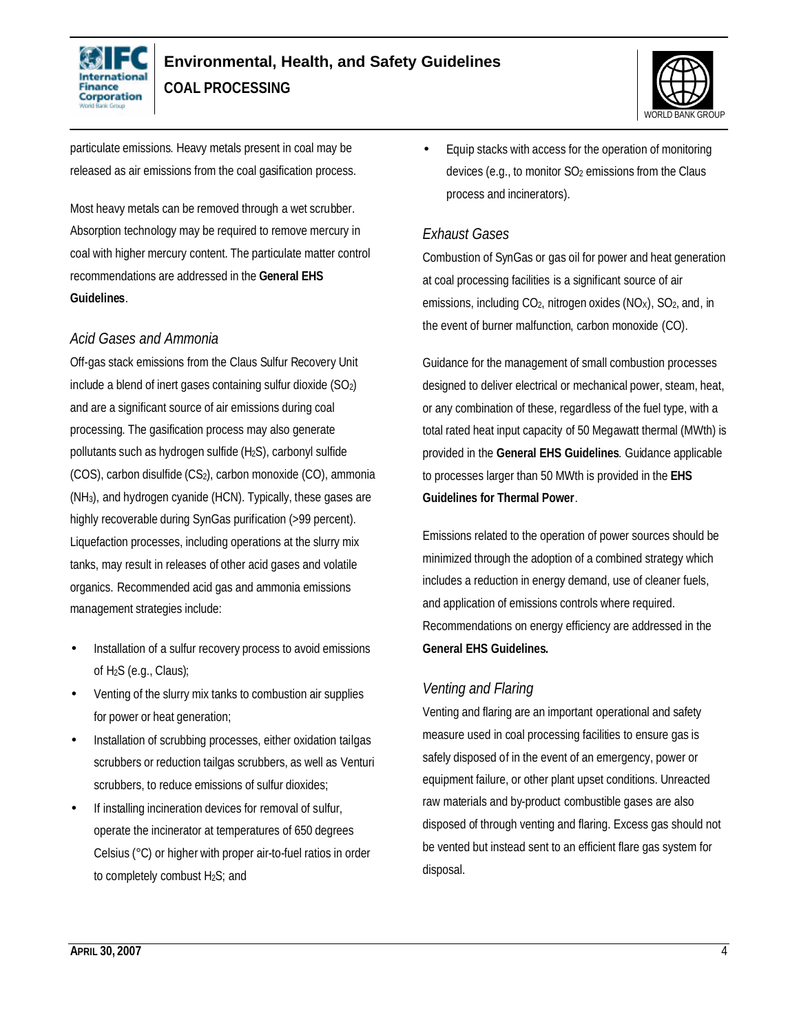



particulate emissions. Heavy metals present in coal may be released as air emissions from the coal gasification process.

Most heavy metals can be removed through a wet scrubber. Absorption technology may be required to remove mercury in coal with higher mercury content. The particulate matter control recommendations are addressed in the **General EHS Guidelines**.

### *Acid Gases and Ammonia*

Off-gas stack emissions from the Claus Sulfur Recovery Unit include a blend of inert gases containing sulfur dioxide (SO2) and are a significant source of air emissions during coal processing. The gasification process may also generate pollutants such as hydrogen sulfide (H2S), carbonyl sulfide (COS), carbon disulfide (CS2), carbon monoxide (CO), ammonia (NH3), and hydrogen cyanide (HCN). Typically, these gases are highly recoverable during SynGas purification (>99 percent). Liquefaction processes, including operations at the slurry mix tanks, may result in releases of other acid gases and volatile organics. Recommended acid gas and ammonia emissions management strategies include:

- Installation of a sulfur recovery process to avoid emissions of  $H_2S$  (e.g., Claus);
- Venting of the slurry mix tanks to combustion air supplies for power or heat generation;
- Installation of scrubbing processes, either oxidation tailgas scrubbers or reduction tailgas scrubbers, as well as Venturi scrubbers, to reduce emissions of sulfur dioxides;
- If installing incineration devices for removal of sulfur, operate the incinerator at temperatures of 650 degrees Celsius (°C) or higher with proper air-to-fuel ratios in order to completely combust H2S; and

• Equip stacks with access for the operation of monitoring devices (e.g., to monitor SO<sub>2</sub> emissions from the Claus process and incinerators).

### *Exhaust Gases*

Combustion of SynGas or gas oil for power and heat generation at coal processing facilities is a significant source of air emissions, including  $CO<sub>2</sub>$ , nitrogen oxides ( $NO<sub>X</sub>$ ),  $SO<sub>2</sub>$ , and, in the event of burner malfunction, carbon monoxide (CO).

Guidance for the management of small combustion processes designed to deliver electrical or mechanical power, steam, heat, or any combination of these, regardless of the fuel type, with a total rated heat input capacity of 50 Megawatt thermal (MWth) is provided in the **General EHS Guidelines**. Guidance applicable to processes larger than 50 MWth is provided in the **EHS Guidelines for Thermal Power**.

Emissions related to the operation of power sources should be minimized through the adoption of a combined strategy which includes a reduction in energy demand, use of cleaner fuels, and application of emissions controls where required. Recommendations on energy efficiency are addressed in the **General EHS Guidelines.**

### *Venting and Flaring*

Venting and flaring are an important operational and safety measure used in coal processing facilities to ensure gas is safely disposed of in the event of an emergency, power or equipment failure, or other plant upset conditions. Unreacted raw materials and by-product combustible gases are also disposed of through venting and flaring. Excess gas should not be vented but instead sent to an efficient flare gas system for disposal.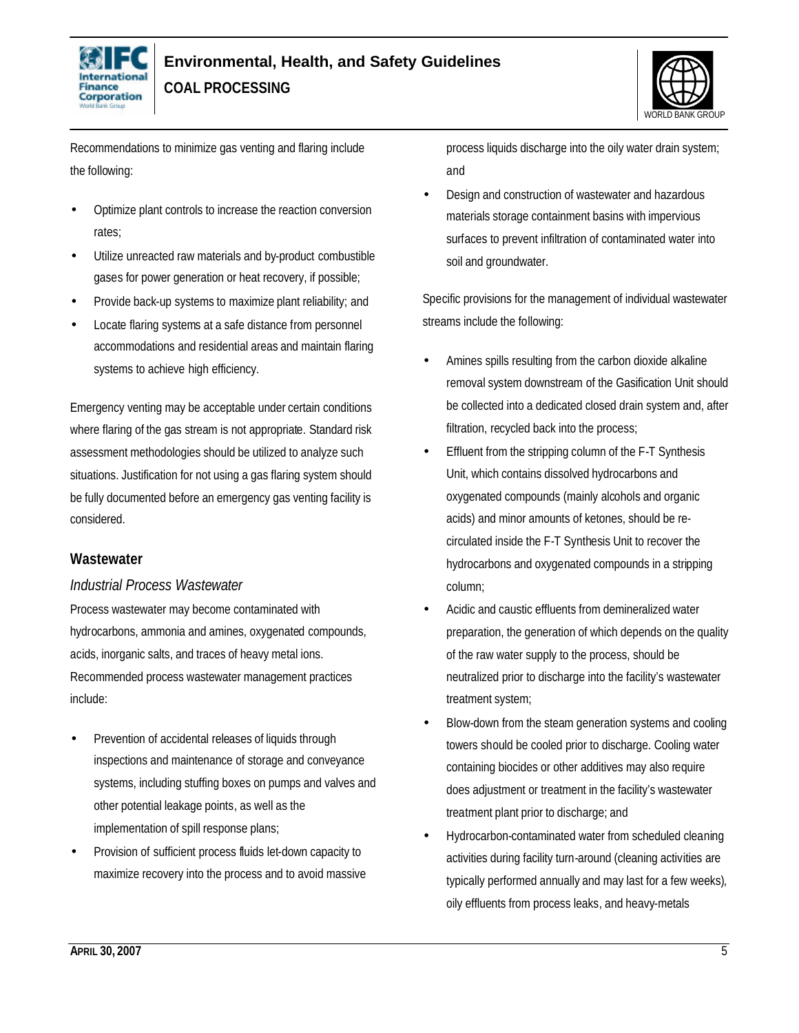



Recommendations to minimize gas venting and flaring include the following:

- Optimize plant controls to increase the reaction conversion rates;
- Utilize unreacted raw materials and by-product combustible gases for power generation or heat recovery, if possible;
- Provide back-up systems to maximize plant reliability; and
- Locate flaring systems at a safe distance from personnel accommodations and residential areas and maintain flaring systems to achieve high efficiency.

Emergency venting may be acceptable under certain conditions where flaring of the gas stream is not appropriate. Standard risk assessment methodologies should be utilized to analyze such situations. Justification for not using a gas flaring system should be fully documented before an emergency gas venting facility is considered.

#### **Wastewater**

#### *Industrial Process Wastewater*

Process wastewater may become contaminated with hydrocarbons, ammonia and amines, oxygenated compounds, acids, inorganic salts, and traces of heavy metal ions. Recommended process wastewater management practices include:

- Prevention of accidental releases of liquids through inspections and maintenance of storage and conveyance systems, including stuffing boxes on pumps and valves and other potential leakage points, as well as the implementation of spill response plans;
- Provision of sufficient process fluids let-down capacity to maximize recovery into the process and to avoid massive

process liquids discharge into the oily water drain system; and

• Design and construction of wastewater and hazardous materials storage containment basins with impervious surfaces to prevent infiltration of contaminated water into soil and groundwater.

Specific provisions for the management of individual wastewater streams include the following:

- Amines spills resulting from the carbon dioxide alkaline removal system downstream of the Gasification Unit should be collected into a dedicated closed drain system and, after filtration, recycled back into the process;
- Effluent from the stripping column of the F-T Synthesis Unit, which contains dissolved hydrocarbons and oxygenated compounds (mainly alcohols and organic acids) and minor amounts of ketones, should be recirculated inside the F-T Synthesis Unit to recover the hydrocarbons and oxygenated compounds in a stripping column;
- Acidic and caustic effluents from demineralized water preparation, the generation of which depends on the quality of the raw water supply to the process, should be neutralized prior to discharge into the facility's wastewater treatment system;
- Blow-down from the steam generation systems and cooling towers should be cooled prior to discharge. Cooling water containing biocides or other additives may also require does adjustment or treatment in the facility's wastewater treatment plant prior to discharge; and
- Hydrocarbon-contaminated water from scheduled cleaning activities during facility turn-around (cleaning activities are typically performed annually and may last for a few weeks), oily effluents from process leaks, and heavy-metals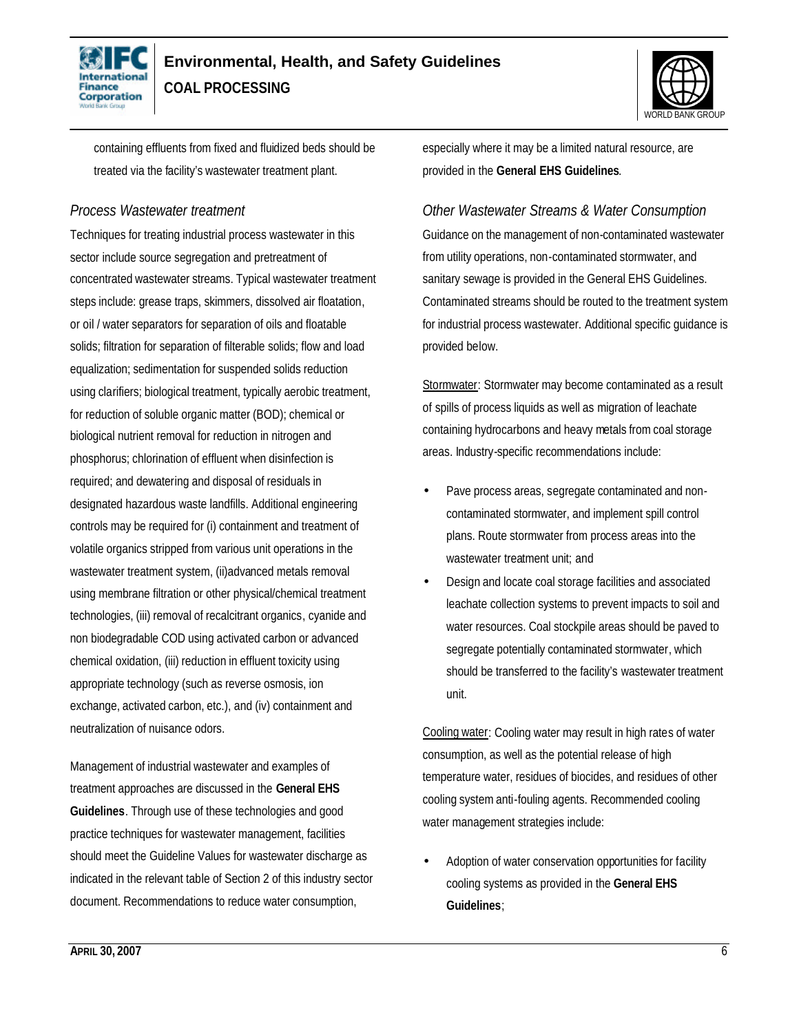



containing effluents from fixed and fluidized beds should be treated via the facility's wastewater treatment plant.

### *Process Wastewater treatment*

Techniques for treating industrial process wastewater in this sector include source segregation and pretreatment of concentrated wastewater streams. Typical wastewater treatment steps include: grease traps, skimmers, dissolved air floatation, or oil / water separators for separation of oils and floatable solids; filtration for separation of filterable solids; flow and load equalization; sedimentation for suspended solids reduction using clarifiers; biological treatment, typically aerobic treatment, for reduction of soluble organic matter (BOD); chemical or biological nutrient removal for reduction in nitrogen and phosphorus; chlorination of effluent when disinfection is required; and dewatering and disposal of residuals in designated hazardous waste landfills. Additional engineering controls may be required for (i) containment and treatment of volatile organics stripped from various unit operations in the wastewater treatment system, (ii)advanced metals removal using membrane filtration or other physical/chemical treatment technologies, (iii) removal of recalcitrant organics, cyanide and non biodegradable COD using activated carbon or advanced chemical oxidation, (iii) reduction in effluent toxicity using appropriate technology (such as reverse osmosis, ion exchange, activated carbon, etc.), and (iv) containment and neutralization of nuisance odors.

Management of industrial wastewater and examples of treatment approaches are discussed in the **General EHS Guidelines**. Through use of these technologies and good practice techniques for wastewater management, facilities should meet the Guideline Values for wastewater discharge as indicated in the relevant table of Section 2 of this industry sector document. Recommendations to reduce water consumption,

especially where it may be a limited natural resource, are provided in the **General EHS Guidelines**.

### *Other Wastewater Streams & Water Consumption*

Guidance on the management of non-contaminated wastewater from utility operations, non-contaminated stormwater, and sanitary sewage is provided in the General EHS Guidelines. Contaminated streams should be routed to the treatment system for industrial process wastewater. Additional specific guidance is provided below.

Stormwater: Stormwater may become contaminated as a result of spills of process liquids as well as migration of leachate containing hydrocarbons and heavy metals from coal storage areas. Industry-specific recommendations include:

- Pave process areas, segregate contaminated and noncontaminated stormwater, and implement spill control plans. Route stormwater from process areas into the wastewater treatment unit; and
- Design and locate coal storage facilities and associated leachate collection systems to prevent impacts to soil and water resources. Coal stockpile areas should be paved to segregate potentially contaminated stormwater, which should be transferred to the facility's wastewater treatment unit.

Cooling water: Cooling water may result in high rates of water consumption, as well as the potential release of high temperature water, residues of biocides, and residues of other cooling system anti-fouling agents. Recommended cooling water management strategies include:

• Adoption of water conservation opportunities for facility cooling systems as provided in the **General EHS Guidelines**;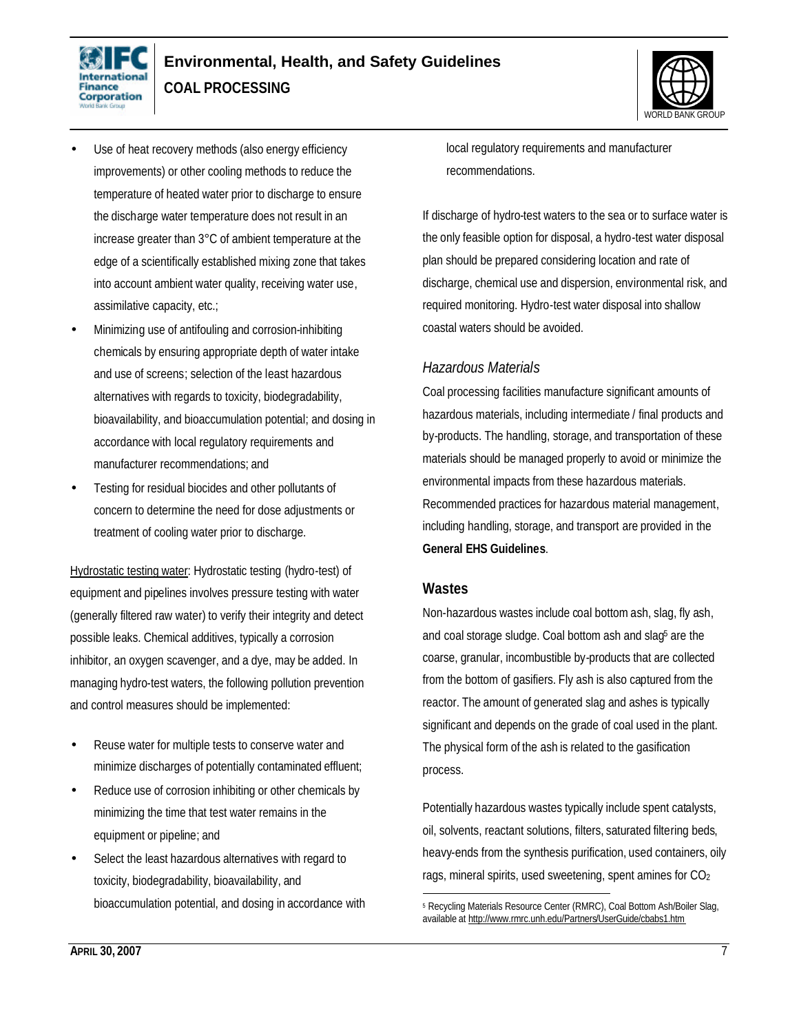



- Use of heat recovery methods (also energy efficiency improvements) or other cooling methods to reduce the temperature of heated water prior to discharge to ensure the discharge water temperature does not result in an increase greater than 3°C of ambient temperature at the edge of a scientifically established mixing zone that takes into account ambient water quality, receiving water use, assimilative capacity, etc.;
- Minimizing use of antifouling and corrosion-inhibiting chemicals by ensuring appropriate depth of water intake and use of screens; selection of the least hazardous alternatives with regards to toxicity, biodegradability, bioavailability, and bioaccumulation potential; and dosing in accordance with local regulatory requirements and manufacturer recommendations; and
- Testing for residual biocides and other pollutants of concern to determine the need for dose adjustments or treatment of cooling water prior to discharge.

Hydrostatic testing water: Hydrostatic testing (hydro-test) of equipment and pipelines involves pressure testing with water (generally filtered raw water) to verify their integrity and detect possible leaks. Chemical additives, typically a corrosion inhibitor, an oxygen scavenger, and a dye, may be added. In managing hydro-test waters, the following pollution prevention and control measures should be implemented:

- Reuse water for multiple tests to conserve water and minimize discharges of potentially contaminated effluent;
- Reduce use of corrosion inhibiting or other chemicals by minimizing the time that test water remains in the equipment or pipeline; and
- Select the least hazardous alternatives with regard to toxicity, biodegradability, bioavailability, and bioaccumulation potential, and dosing in accordance with

local regulatory requirements and manufacturer recommendations.

If discharge of hydro-test waters to the sea or to surface water is the only feasible option for disposal, a hydro-test water disposal plan should be prepared considering location and rate of discharge, chemical use and dispersion, environmental risk, and required monitoring. Hydro-test water disposal into shallow coastal waters should be avoided.

#### *Hazardous Materials*

Coal processing facilities manufacture significant amounts of hazardous materials, including intermediate / final products and by-products. The handling, storage, and transportation of these materials should be managed properly to avoid or minimize the environmental impacts from these hazardous materials. Recommended practices for hazardous material management, including handling, storage, and transport are provided in the **General EHS Guidelines**.

### **Wastes**

1

Non-hazardous wastes include coal bottom ash, slag, fly ash, and coal storage sludge. Coal bottom ash and slag<sup>5</sup> are the coarse, granular, incombustible by-products that are collected from the bottom of gasifiers. Fly ash is also captured from the reactor. The amount of generated slag and ashes is typically significant and depends on the grade of coal used in the plant. The physical form of the ash is related to the gasification process.

Potentially hazardous wastes typically include spent catalysts, oil, solvents, reactant solutions, filters, saturated filtering beds, heavy-ends from the synthesis purification, used containers, oily rags, mineral spirits, used sweetening, spent amines for  $CO<sub>2</sub>$ 

<sup>&</sup>lt;sup>5</sup> Recycling Materials Resource Center (RMRC), Coal Bottom Ash/Boiler Slag, available at http://www.rmrc.unh.edu/Partners/UserGuide/cbabs1.htm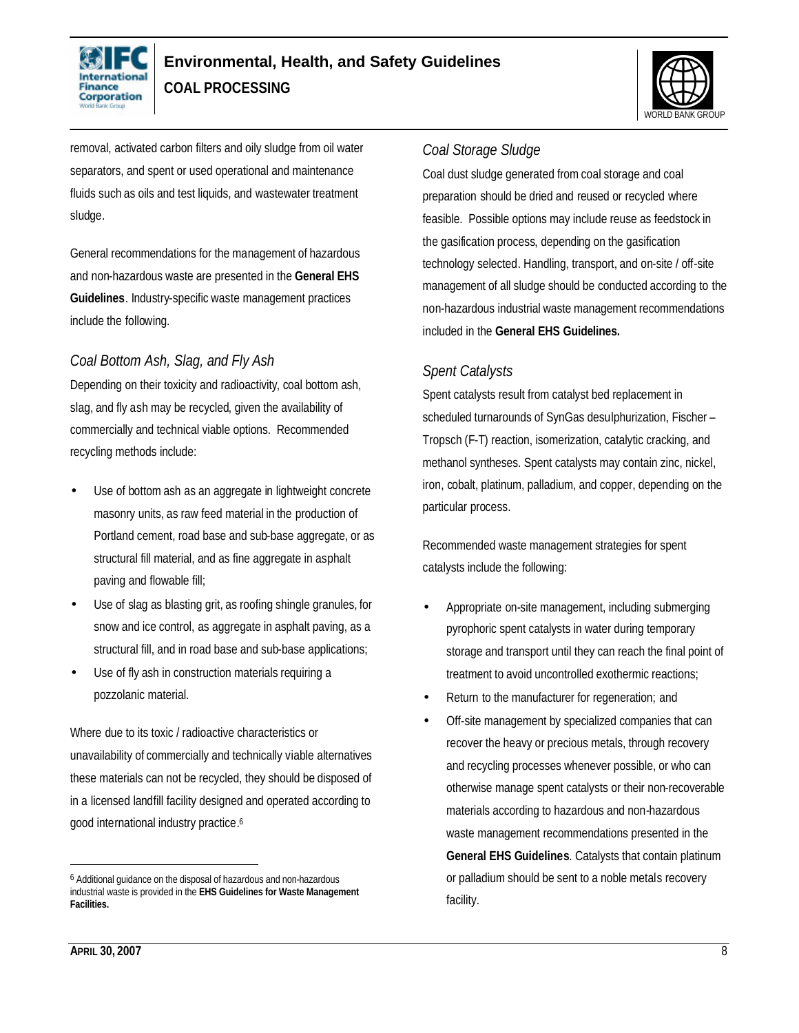



removal, activated carbon filters and oily sludge from oil water separators, and spent or used operational and maintenance fluids such as oils and test liquids, and wastewater treatment sludge.

General recommendations for the management of hazardous and non-hazardous waste are presented in the **General EHS Guidelines**. Industry-specific waste management practices include the following.

### *Coal Bottom Ash, Slag, and Fly Ash*

Depending on their toxicity and radioactivity, coal bottom ash, slag, and fly ash may be recycled, given the availability of commercially and technical viable options. Recommended recycling methods include:

- Use of bottom ash as an aggregate in lightweight concrete masonry units, as raw feed material in the production of Portland cement, road base and sub-base aggregate, or as structural fill material, and as fine aggregate in asphalt paving and flowable fill;
- Use of slag as blasting grit, as roofing shingle granules, for snow and ice control, as aggregate in asphalt paving, as a structural fill, and in road base and sub-base applications;
- Use of fly ash in construction materials requiring a pozzolanic material.

Where due to its toxic / radioactive characteristics or unavailability of commercially and technically viable alternatives these materials can not be recycled, they should be disposed of in a licensed landfill facility designed and operated according to good international industry practice. 6

#### *Coal Storage Sludge*

Coal dust sludge generated from coal storage and coal preparation should be dried and reused or recycled where feasible. Possible options may include reuse as feedstock in the gasification process, depending on the gasification technology selected. Handling, transport, and on-site / off-site management of all sludge should be conducted according to the non-hazardous industrial waste management recommendations included in the **General EHS Guidelines.**

### *Spent Catalysts*

Spent catalysts result from catalyst bed replacement in scheduled turnarounds of SynGas desulphurization, Fischer – Tropsch (F-T) reaction, isomerization, catalytic cracking, and methanol syntheses. Spent catalysts may contain zinc, nickel, iron, cobalt, platinum, palladium, and copper, depending on the particular process.

Recommended waste management strategies for spent catalysts include the following:

- Appropriate on-site management, including submerging pyrophoric spent catalysts in water during temporary storage and transport until they can reach the final point of treatment to avoid uncontrolled exothermic reactions;
- Return to the manufacturer for regeneration; and
- Off-site management by specialized companies that can recover the heavy or precious metals, through recovery and recycling processes whenever possible, or who can otherwise manage spent catalysts or their non-recoverable materials according to hazardous and non-hazardous waste management recommendations presented in the **General EHS Guidelines**. Catalysts that contain platinum or palladium should be sent to a noble metals recovery facility.

 $\overline{a}$ 

<sup>6</sup> Additional guidance on the disposal of hazardous and non-hazardous industrial waste is provided in the **EHS Guidelines for Waste Management Facilities.**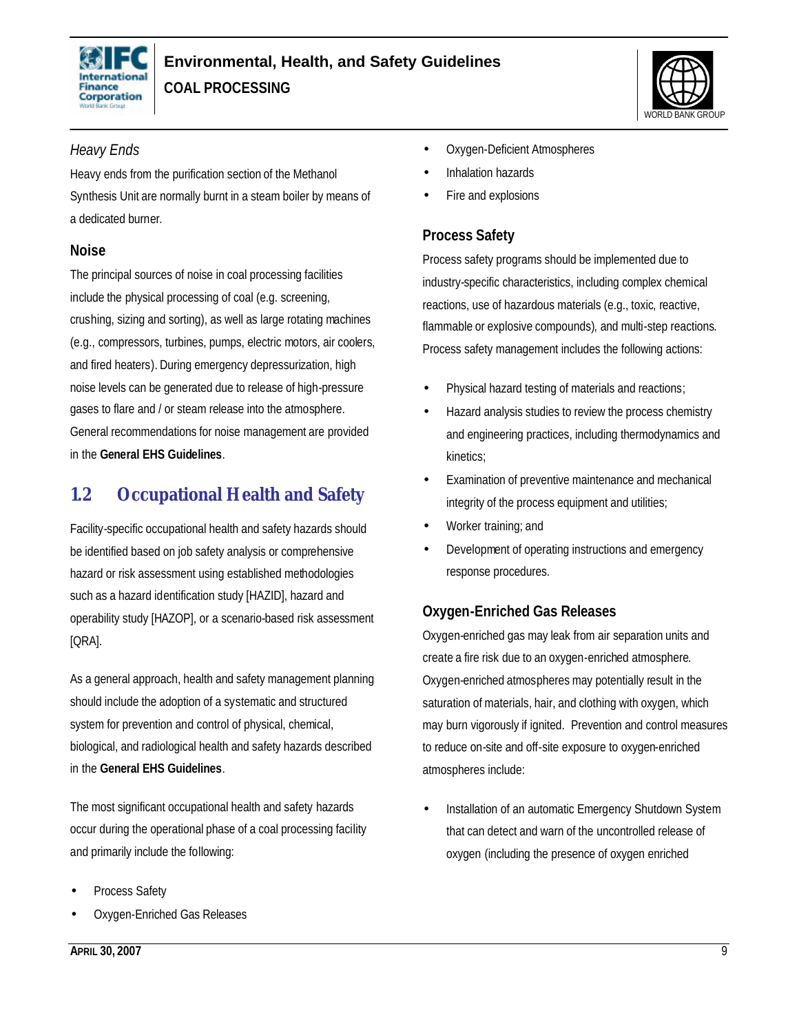



### *Heavy Ends*

Heavy ends from the purification section of the Methanol Synthesis Unit are normally burnt in a steam boiler by means of a dedicated burner.

### **Noise**

The principal sources of noise in coal processing facilities include the physical processing of coal (e.g. screening, crushing, sizing and sorting), as well as large rotating machines (e.g., compressors, turbines, pumps, electric motors, air coolers, and fired heaters). During emergency depressurization, high noise levels can be generated due to release of high-pressure gases to flare and / or steam release into the atmosphere. General recommendations for noise management are provided in the **General EHS Guidelines**.

# **1.2 Occupational Health and Safety**

Facility-specific occupational health and safety hazards should be identified based on job safety analysis or comprehensive hazard or risk assessment using established methodologies such as a hazard identification study [HAZID], hazard and operability study [HAZOP], or a scenario-based risk assessment [QRA].

As a general approach, health and safety management planning should include the adoption of a systematic and structured system for prevention and control of physical, chemical, biological, and radiological health and safety hazards described in the **General EHS Guidelines**.

The most significant occupational health and safety hazards occur during the operational phase of a coal processing facility and primarily include the following:

- Process Safety
- Oxygen-Enriched Gas Releases
- Oxygen-Deficient Atmospheres
- Inhalation hazards
- Fire and explosions

### **Process Safety**

Process safety programs should be implemented due to industry-specific characteristics, including complex chemical reactions, use of hazardous materials (e.g., toxic, reactive, flammable or explosive compounds), and multi-step reactions. Process safety management includes the following actions:

- Physical hazard testing of materials and reactions;
- Hazard analysis studies to review the process chemistry and engineering practices, including thermodynamics and kinetics;
- Examination of preventive maintenance and mechanical integrity of the process equipment and utilities;
- Worker training; and
- Development of operating instructions and emergency response procedures.

### **Oxygen-Enriched Gas Releases**

Oxygen-enriched gas may leak from air separation units and create a fire risk due to an oxygen-enriched atmosphere. Oxygen-enriched atmospheres may potentially result in the saturation of materials, hair, and clothing with oxygen, which may burn vigorously if ignited. Prevention and control measures to reduce on-site and off-site exposure to oxygen-enriched atmospheres include:

Installation of an automatic Emergency Shutdown System that can detect and warn of the uncontrolled release of oxygen (including the presence of oxygen enriched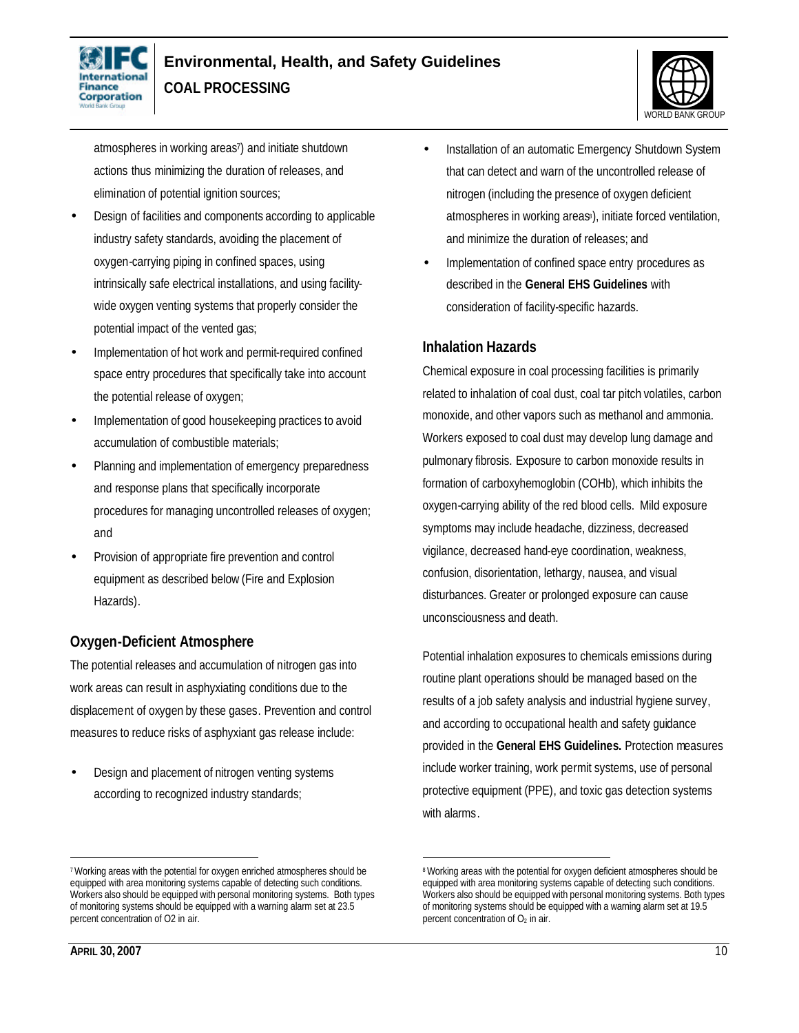



atmospheres in working areas<sup>7</sup> ) and initiate shutdown actions thus minimizing the duration of releases, and elimination of potential ignition sources;

- Design of facilities and components according to applicable industry safety standards, avoiding the placement of oxygen-carrying piping in confined spaces, using intrinsically safe electrical installations, and using facilitywide oxygen venting systems that properly consider the potential impact of the vented gas;
- Implementation of hot work and permit-required confined space entry procedures that specifically take into account the potential release of oxygen;
- Implementation of good housekeeping practices to avoid accumulation of combustible materials;
- Planning and implementation of emergency preparedness and response plans that specifically incorporate procedures for managing uncontrolled releases of oxygen; and
- Provision of appropriate fire prevention and control equipment as described below (Fire and Explosion Hazards).

### **Oxygen-Deficient Atmosphere**

The potential releases and accumulation of nitrogen gas into work areas can result in asphyxiating conditions due to the displacement of oxygen by these gases. Prevention and control measures to reduce risks of asphyxiant gas release include:

• Design and placement of nitrogen venting systems according to recognized industry standards;

- Installation of an automatic Emergency Shutdown System that can detect and warn of the uncontrolled release of nitrogen (including the presence of oxygen deficient atmospheres in working areas<sup>8</sup>), initiate forced ventilation, and minimize the duration of releases; and
- Implementation of confined space entry procedures as described in the **General EHS Guidelines** with consideration of facility-specific hazards.

#### **Inhalation Hazards**

Chemical exposure in coal processing facilities is primarily related to inhalation of coal dust, coal tar pitch volatiles, carbon monoxide, and other vapors such as methanol and ammonia. Workers exposed to coal dust may develop lung damage and pulmonary fibrosis. Exposure to carbon monoxide results in formation of carboxyhemoglobin (COHb), which inhibits the oxygen-carrying ability of the red blood cells. Mild exposure symptoms may include headache, dizziness, decreased vigilance, decreased hand-eye coordination, weakness, confusion, disorientation, lethargy, nausea, and visual disturbances. Greater or prolonged exposure can cause unconsciousness and death.

Potential inhalation exposures to chemicals emissions during routine plant operations should be managed based on the results of a job safety analysis and industrial hygiene survey, and according to occupational health and safety guidance provided in the **General EHS Guidelines.** Protection measures include worker training, work permit systems, use of personal protective equipment (PPE), and toxic gas detection systems with alarms.

 $\overline{a}$ <sup>7</sup>Working areas with the potential for oxygen enriched atmospheres should be equipped with area monitoring systems capable of detecting such conditions. Workers also should be equipped with personal monitoring systems. Both types of monitoring systems should be equipped with a warning alarm set at 23.5 percent concentration of O2 in air.

 $\overline{a}$ <sup>8</sup>Working areas with the potential for oxygen deficient atmospheres should be equipped with area monitoring systems capable of detecting such conditions. Workers also should be equipped with personal monitoring systems. Both types of monitoring systems should be equipped with a warning alarm set at 19.5 percent concentration of  $O<sub>2</sub>$  in air.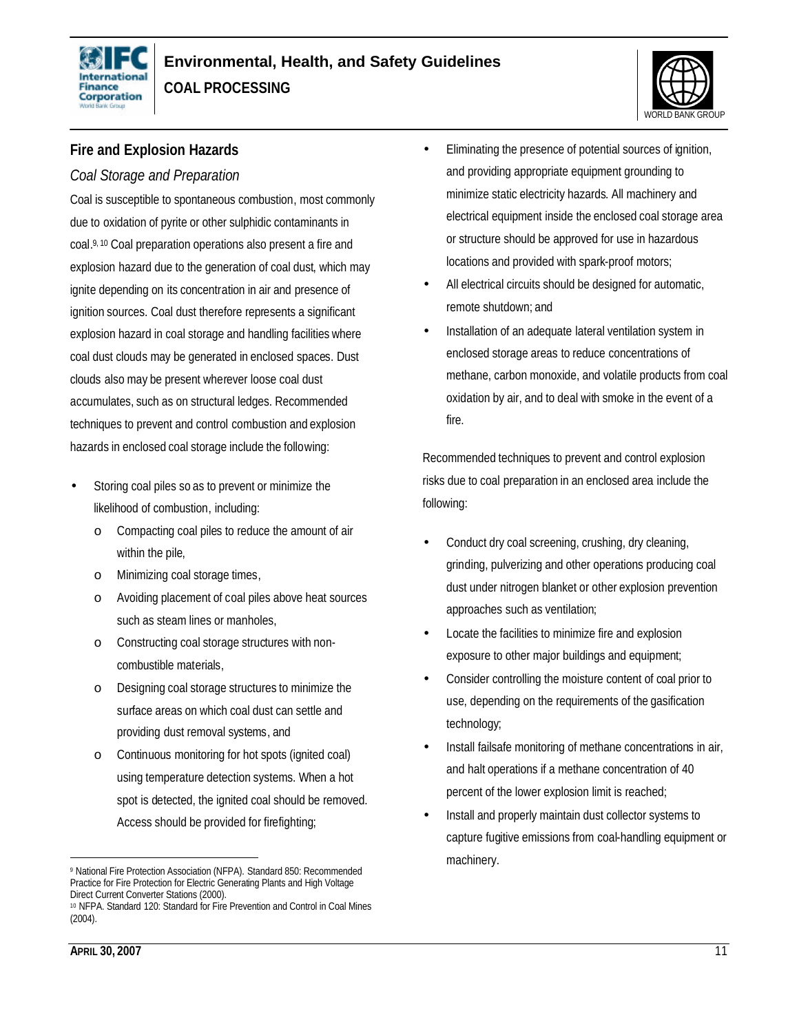



### **Fire and Explosion Hazards**

### *Coal Storage and Preparation*

Coal is susceptible to spontaneous combustion, most commonly due to oxidation of pyrite or other sulphidic contaminants in coal. 9, <sup>10</sup> Coal preparation operations also present a fire and explosion hazard due to the generation of coal dust, which may ignite depending on its concentration in air and presence of ignition sources. Coal dust therefore represents a significant explosion hazard in coal storage and handling facilities where coal dust clouds may be generated in enclosed spaces. Dust clouds also may be present wherever loose coal dust accumulates, such as on structural ledges. Recommended techniques to prevent and control combustion and explosion hazards in enclosed coal storage include the following:

- Storing coal piles so as to prevent or minimize the likelihood of combustion, including:
	- o Compacting coal piles to reduce the amount of air within the pile,
	- o Minimizing coal storage times,
	- o Avoiding placement of coal piles above heat sources such as steam lines or manholes,
	- o Constructing coal storage structures with noncombustible materials,
	- o Designing coal storage structures to minimize the surface areas on which coal dust can settle and providing dust removal systems, and
	- o Continuous monitoring for hot spots (ignited coal) using temperature detection systems. When a hot spot is detected, the ignited coal should be removed. Access should be provided for firefighting;
- Eliminating the presence of potential sources of ignition, and providing appropriate equipment grounding to minimize static electricity hazards. All machinery and electrical equipment inside the enclosed coal storage area or structure should be approved for use in hazardous locations and provided with spark-proof motors;
- All electrical circuits should be designed for automatic, remote shutdown; and
- Installation of an adequate lateral ventilation system in enclosed storage areas to reduce concentrations of methane, carbon monoxide, and volatile products from coal oxidation by air, and to deal with smoke in the event of a fire.

Recommended techniques to prevent and control explosion risks due to coal preparation in an enclosed area include the following:

- Conduct dry coal screening, crushing, dry cleaning, grinding, pulverizing and other operations producing coal dust under nitrogen blanket or other explosion prevention approaches such as ventilation;
- Locate the facilities to minimize fire and explosion exposure to other major buildings and equipment;
- Consider controlling the moisture content of coal prior to use, depending on the requirements of the gasification technology;
- Install failsafe monitoring of methane concentrations in air, and halt operations if a methane concentration of 40 percent of the lower explosion limit is reached;
- Install and properly maintain dust collector systems to capture fugitive emissions from coal-handling equipment or machinery.

 $\overline{a}$ <sup>9</sup> National Fire Protection Association (NFPA). Standard 850: Recommended Practice for Fire Protection for Electric Generating Plants and High Voltage Direct Current Converter Stations (2000).

<sup>10</sup> NFPA. Standard 120: Standard for Fire Prevention and Control in Coal Mines (2004).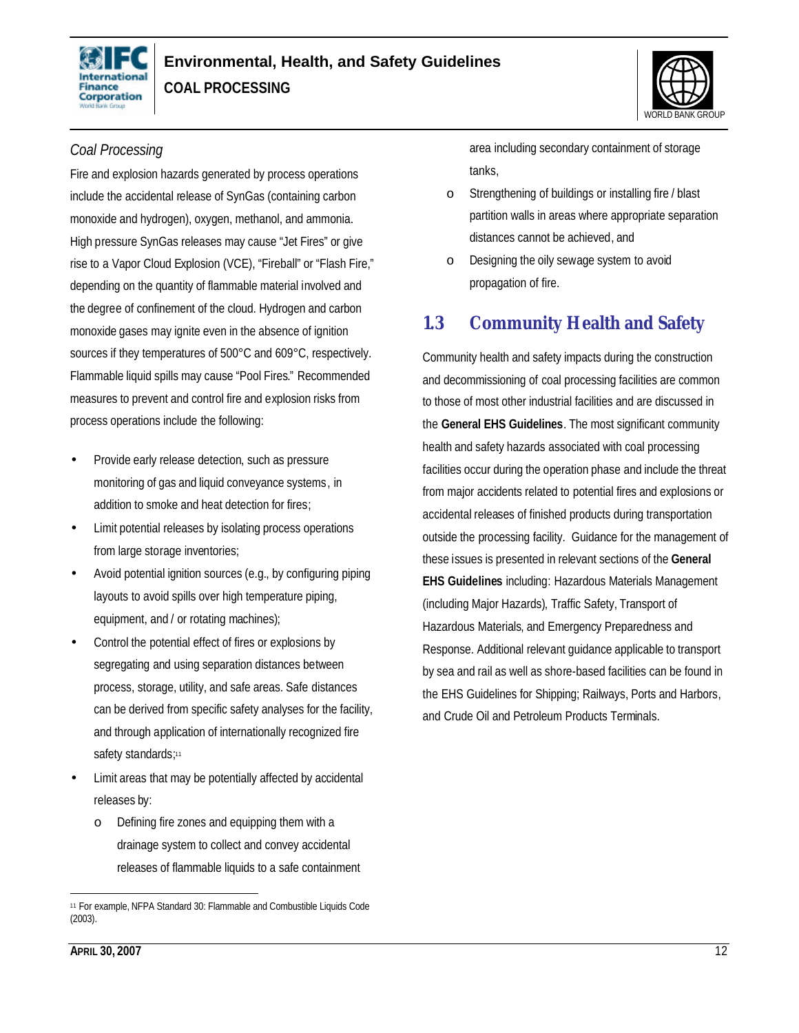



### *Coal Processing*

Fire and explosion hazards generated by process operations include the accidental release of SynGas (containing carbon monoxide and hydrogen), oxygen, methanol, and ammonia. High pressure SynGas releases may cause "Jet Fires" or give rise to a Vapor Cloud Explosion (VCE), "Fireball" or "Flash Fire," depending on the quantity of flammable material involved and the degree of confinement of the cloud. Hydrogen and carbon monoxide gases may ignite even in the absence of ignition sources if they temperatures of 500°C and 609°C, respectively. Flammable liquid spills may cause "Pool Fires." Recommended measures to prevent and control fire and explosion risks from process operations include the following:

- Provide early release detection, such as pressure monitoring of gas and liquid conveyance systems, in addition to smoke and heat detection for fires;
- Limit potential releases by isolating process operations from large storage inventories;
- Avoid potential ignition sources (e.g., by configuring piping layouts to avoid spills over high temperature piping, equipment, and / or rotating machines);
- Control the potential effect of fires or explosions by segregating and using separation distances between process, storage, utility, and safe areas. Safe distances can be derived from specific safety analyses for the facility, and through application of internationally recognized fire safety standards;<sup>11</sup>
- Limit areas that may be potentially affected by accidental releases by:
	- o Defining fire zones and equipping them with a drainage system to collect and convey accidental releases of flammable liquids to a safe containment

area including secondary containment of storage tanks,

- o Strengthening of buildings or installing fire / blast partition walls in areas where appropriate separation distances cannot be achieved, and
- o Designing the oily sewage system to avoid propagation of fire.

## **1.3 Community Health and Safety**

Community health and safety impacts during the construction and decommissioning of coal processing facilities are common to those of most other industrial facilities and are discussed in the **General EHS Guidelines**. The most significant community health and safety hazards associated with coal processing facilities occur during the operation phase and include the threat from major accidents related to potential fires and explosions or accidental releases of finished products during transportation outside the processing facility. Guidance for the management of these issues is presented in relevant sections of the **General EHS Guidelines** including: Hazardous Materials Management (including Major Hazards), Traffic Safety, Transport of Hazardous Materials, and Emergency Preparedness and Response. Additional relevant guidance applicable to transport by sea and rail as well as shore-based facilities can be found in the EHS Guidelines for Shipping; Railways, Ports and Harbors, and Crude Oil and Petroleum Products Terminals.

 $\overline{a}$ 

<sup>11</sup> For example, NFPA Standard 30: Flammable and Combustible Liquids Code (2003).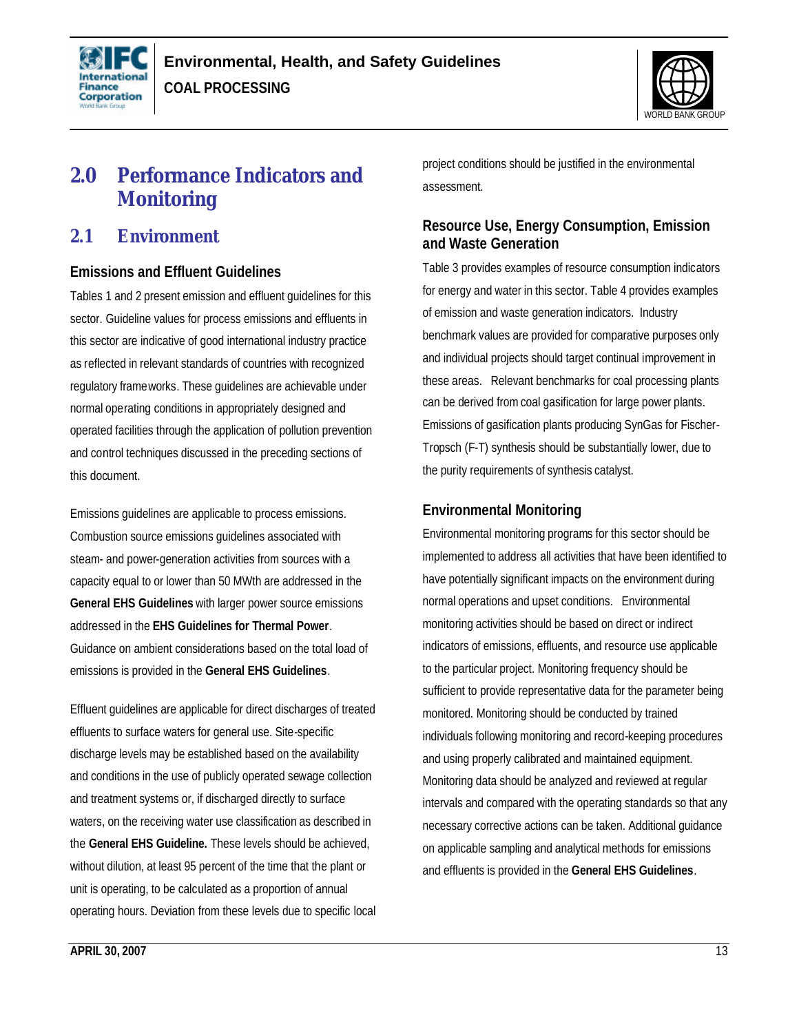



# **2.0 Performance Indicators and Monitoring**

### **2.1 Environment**

### **Emissions and Effluent Guidelines**

Tables 1 and 2 present emission and effluent guidelines for this sector. Guideline values for process emissions and effluents in this sector are indicative of good international industry practice as reflected in relevant standards of countries with recognized regulatory frameworks. These guidelines are achievable under normal operating conditions in appropriately designed and operated facilities through the application of pollution prevention and control techniques discussed in the preceding sections of this document.

Emissions guidelines are applicable to process emissions. Combustion source emissions guidelines associated with steam- and power-generation activities from sources with a capacity equal to or lower than 50 MWth are addressed in the **General EHS Guidelines** with larger power source emissions addressed in the **EHS Guidelines for Thermal Power**. Guidance on ambient considerations based on the total load of emissions is provided in the **General EHS Guidelines**.

Effluent guidelines are applicable for direct discharges of treated effluents to surface waters for general use. Site-specific discharge levels may be established based on the availability and conditions in the use of publicly operated sewage collection and treatment systems or, if discharged directly to surface waters, on the receiving water use classification as described in the **General EHS Guideline.** These levels should be achieved, without dilution, at least 95 percent of the time that the plant or unit is operating, to be calculated as a proportion of annual operating hours. Deviation from these levels due to specific local project conditions should be justified in the environmental assessment.

 $\overline{a}$ 

### **Resource Use, Energy Consumption, Emission and Waste Generation**

Table 3 provides examples of resource consumption indicators for energy and water in this sector. Table 4 provides examples of emission and waste generation indicators. Industry benchmark values are provided for comparative purposes only and individual projects should target continual improvement in these areas. Relevant benchmarks for coal processing plants can be derived from coal gasification for large power plants. Emissions of gasification plants producing SynGas for Fischer-Tropsch (F-T) synthesis should be substantially lower, due to the purity requirements of synthesis catalyst.

### **Environmental Monitoring**

Environmental monitoring programs for this sector should be implemented to address all activities that have been identified to have potentially significant impacts on the environment during normal operations and upset conditions. Environmental monitoring activities should be based on direct or indirect indicators of emissions, effluents, and resource use applicable to the particular project. Monitoring frequency should be sufficient to provide representative data for the parameter being monitored. Monitoring should be conducted by trained individuals following monitoring and record-keeping procedures and using properly calibrated and maintained equipment. Monitoring data should be analyzed and reviewed at regular intervals and compared with the operating standards so that any necessary corrective actions can be taken. Additional guidance on applicable sampling and analytical methods for emissions and effluents is provided in the **General EHS Guidelines**.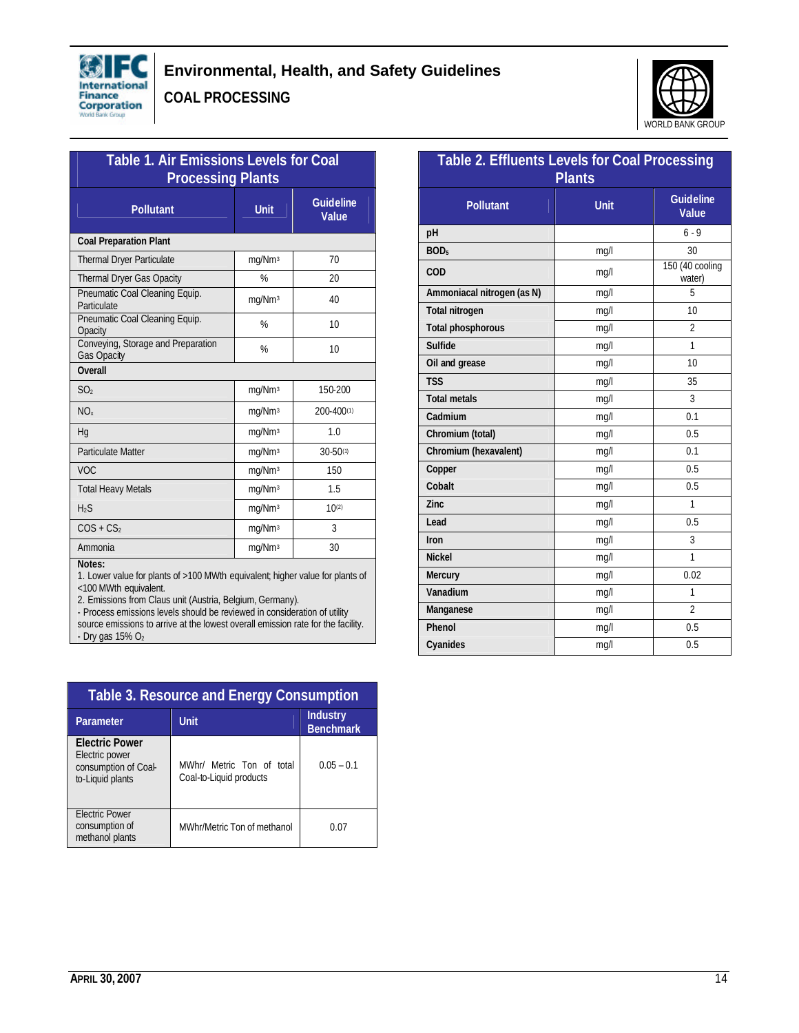



| <b>Table 1. Air Emissions Levels for Coal</b><br><b>Processing Plants</b>               |                    |                           |  |  |
|-----------------------------------------------------------------------------------------|--------------------|---------------------------|--|--|
| <b>Pollutant</b>                                                                        | <b>Unit</b>        | <b>Guideline</b><br>Value |  |  |
| <b>Coal Preparation Plant</b>                                                           |                    |                           |  |  |
| <b>Thermal Dryer Particulate</b>                                                        | mg/Nm <sup>3</sup> | 70                        |  |  |
| <b>Thermal Dryer Gas Opacity</b>                                                        | %                  | 20                        |  |  |
| Pneumatic Coal Cleaning Equip.<br>Particulate                                           | mg/Nm <sup>3</sup> | 40                        |  |  |
| Pneumatic Coal Cleaning Equip.<br>Opacity                                               | %                  | 10                        |  |  |
| Conveying, Storage and Preparation<br><b>Gas Opacity</b>                                | %<br>10            |                           |  |  |
| Overall                                                                                 |                    |                           |  |  |
| SO <sub>2</sub>                                                                         | mg/Nm <sup>3</sup> | 150-200                   |  |  |
| NO <sub>x</sub>                                                                         | mg/Nm <sup>3</sup> | 200-400(1)                |  |  |
| Hq                                                                                      | mg/Nm <sup>3</sup> | 1.0                       |  |  |
| <b>Particulate Matter</b>                                                               | mg/Nm <sup>3</sup> | $30 - 50(1)$              |  |  |
| <b>VOC</b>                                                                              | mg/Nm <sup>3</sup> | 150                       |  |  |
| <b>Total Heavy Metals</b>                                                               | mg/Nm <sup>3</sup> | 1.5                       |  |  |
| H <sub>2</sub> S                                                                        | mg/Nm <sup>3</sup> | $10^{(2)}$                |  |  |
| $COS + CS2$                                                                             | mg/Nm <sup>3</sup> | 3                         |  |  |
| Ammonia                                                                                 | mg/Nm <sup>3</sup> | 30                        |  |  |
| Notes:<br>1 Lower value for plants of >100 MM/th equivalent: bigher value for plants of |                    |                           |  |  |

oo mivitin equivalent; higher value for p <100 MWth equivalent.

2. Emissions from Claus unit (Austria, Belgium, Germany).

- Process emissions levels should be reviewed in consideration of utility source emissions to arrive at the lowest overall emission rate for the facility.  $-$  Dry gas 15%  $O<sub>2</sub>$ 

| Table 3. Resource and Energy Consumption                                            |                                                      |                              |  |  |
|-------------------------------------------------------------------------------------|------------------------------------------------------|------------------------------|--|--|
| Parameter                                                                           | <b>Unit</b>                                          | Industry<br><b>Benchmark</b> |  |  |
| <b>Electric Power</b><br>Electric power<br>consumption of Coal-<br>to-Liquid plants | MWhr/ Metric Ton of total<br>Coal-to-Liquid products | $0.05 - 0.1$                 |  |  |
| <b>Electric Power</b><br>consumption of<br>methanol plants                          | MWhr/Metric Ton of methanol                          | 0.07                         |  |  |

| <b>Table 2. Effluents Levels for Coal Processing</b><br><b>Plants</b> |             |                           |  |  |
|-----------------------------------------------------------------------|-------------|---------------------------|--|--|
| <b>Pollutant</b>                                                      | <b>Unit</b> | <b>Guideline</b><br>Value |  |  |
| pH                                                                    |             | $6 - 9$                   |  |  |
| BOD <sub>5</sub>                                                      | mq/l        | 30                        |  |  |
| COD                                                                   | mg/l        | 150 (40 cooling<br>water) |  |  |
| Ammoniacal nitrogen (as N)                                            | mq/l        | 5                         |  |  |
| <b>Total nitrogen</b>                                                 | mg/l        | 10                        |  |  |
| <b>Total phosphorous</b>                                              | mq/l        | $\overline{2}$            |  |  |
| <b>Sulfide</b>                                                        | mg/l        | 1                         |  |  |
| Oil and grease                                                        | mq/l        | 10                        |  |  |
| <b>TSS</b>                                                            | mq/l        | 35                        |  |  |
| <b>Total metals</b>                                                   | mq/l        | 3                         |  |  |
| Cadmium                                                               | mq/l        | 0.1                       |  |  |
| Chromium (total)                                                      | mq/l        | 0.5                       |  |  |
| Chromium (hexavalent)                                                 | mq/l        | 0.1                       |  |  |
| Copper                                                                | mq/l        | 0.5                       |  |  |
| Cobalt                                                                | 0.5<br>mg/l |                           |  |  |
| <b>Zinc</b>                                                           | 1<br>mq/l   |                           |  |  |
| Lead                                                                  | 0.5<br>mg/l |                           |  |  |
| Iron                                                                  | mg/l        | 3                         |  |  |
| <b>Nickel</b>                                                         | mq/l        | $\overline{1}$            |  |  |
| <b>Mercury</b>                                                        | mg/l        | 0.02                      |  |  |
| Vanadium                                                              | mq/l<br>1   |                           |  |  |
| Manganese                                                             | mg/l        | $\overline{2}$            |  |  |
| Phenol                                                                | mq/l        | 0.5                       |  |  |
| Cyanides                                                              | mg/l        | 0.5                       |  |  |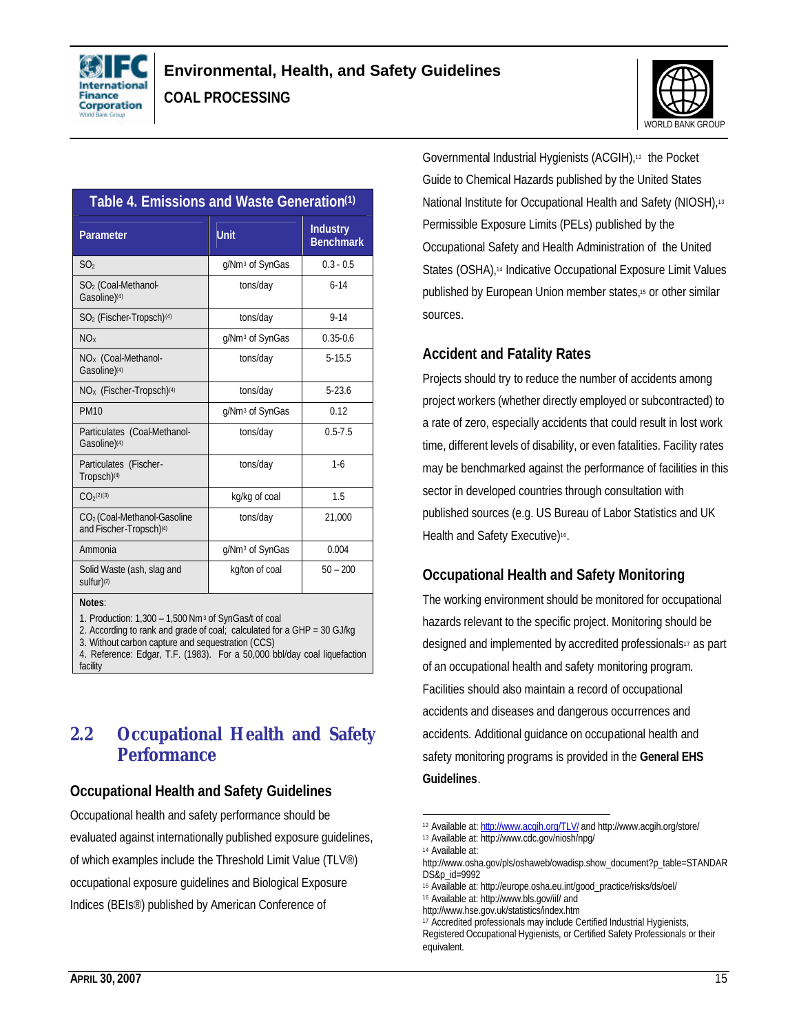



| Table 4. Emissions and Waste Generation <sup>(1)</sup>                         |                             |                                     |  |  |
|--------------------------------------------------------------------------------|-----------------------------|-------------------------------------|--|--|
| Parameter                                                                      | <b>Unit</b>                 | <b>Industry</b><br><b>Benchmark</b> |  |  |
| SO <sub>2</sub>                                                                | g/Nm <sup>3</sup> of SynGas | $0.3 - 0.5$                         |  |  |
| SO <sub>2</sub> (Coal-Methanol-<br>Gasoline) <sup>(4)</sup>                    | tons/day                    | $6 - 14$                            |  |  |
| SO <sub>2</sub> (Fischer-Tropsch) <sup>(4)</sup>                               | tons/day                    | $9 - 14$                            |  |  |
| NO <sub>x</sub>                                                                | g/Nm <sup>3</sup> of SynGas | $0.35 - 0.6$                        |  |  |
| NO <sub>x</sub> (Coal-Methanol-<br>Gasoline) <sup>(4)</sup>                    | tons/day                    | $5 - 15.5$                          |  |  |
| $NOx$ (Fischer-Tropsch) <sup>(4)</sup>                                         | tons/day                    | $5 - 23.6$                          |  |  |
| <b>PM10</b>                                                                    | g/Nm <sup>3</sup> of SynGas | 0.12                                |  |  |
| Particulates (Coal-Methanol-<br>Gasoline) <sup>(4)</sup>                       | tons/day                    | $0.5 - 7.5$                         |  |  |
| Particulates (Fischer-<br>Tropsch) <sup>(4)</sup>                              | tons/day                    | $1 - 6$                             |  |  |
| $C_1O_2(2)(3)$                                                                 | kg/kg of coal               | 1.5                                 |  |  |
| CO <sub>2</sub> (Coal-Methanol-Gasoline<br>and Fischer-Tropsch) <sup>(4)</sup> | tons/day                    | 21,000                              |  |  |
| Ammonia                                                                        | g/Nm <sup>3</sup> of SynGas | 0.004                               |  |  |
| Solid Waste (ash, slag and<br>sulfur) <sup>(2)</sup>                           | kg/ton of coal              | $50 - 200$                          |  |  |
| Notes:                                                                         |                             |                                     |  |  |
| 1. Production: 1,300 - 1,500 Nm <sup>3</sup> of SynGas/t of coal               |                             |                                     |  |  |

1. Production: 1,300 – 1,500 Nm<sup>3</sup> of SynGas/t of coal

2. According to rank and grade of coal; calculated for a GHP = 30 GJ/kg

3. Without carbon capture and sequestration (CCS)

4. Reference: Edgar, T.F. (1983). For a 50,000 bbl/day coal liquefaction facility

### **2.2 Occupational Health and Safety Performance**

### **Occupational Health and Safety Guidelines**

Occupational health and safety performance should be evaluated against internationally published exposure guidelines, of which examples include the Threshold Limit Value (TLV®) occupational exposure guidelines and Biological Exposure Indices (BEIs®) published by American Conference of

Governmental Industrial Hygienists (ACGIH),12 the Pocket Guide to Chemical Hazards published by the United States National Institute for Occupational Health and Safety (NIOSH),<sup>13</sup> Permissible Exposure Limits (PELs) published by the Occupational Safety and Health Administration of the United States (OSHA),<sup>14</sup> Indicative Occupational Exposure Limit Values published by European Union member states,15 or other similar sources.

### **Accident and Fatality Rates**

Projects should try to reduce the number of accidents among project workers (whether directly employed or subcontracted) to a rate of zero, especially accidents that could result in lost work time, different levels of disability, or even fatalities. Facility rates may be benchmarked against the performance of facilities in this sector in developed countries through consultation with published sources (e.g. US Bureau of Labor Statistics and UK Health and Safety Executive)<sup>16</sup>.

### **Occupational Health and Safety Monitoring**

The working environment should be monitored for occupational hazards relevant to the specific project. Monitoring should be designed and implemented by accredited professionals<sup>17</sup> as part of an occupational health and safety monitoring program. Facilities should also maintain a record of occupational accidents and diseases and dangerous occurrences and accidents. Additional guidance on occupational health and safety monitoring programs is provided in the **General EHS Guidelines**.

<sup>&</sup>lt;u>.</u> 12 Available at: http://www.acgih.org/TLV/ and http://www.acgih.org/store/

<sup>13</sup> Available at: http://www.cdc.gov/niosh/npg/

<sup>14</sup> Available at:

http://www.osha.gov/pls/oshaweb/owadisp.show\_document?p\_table=STANDAR DS&p\_id=9992

<sup>15</sup> Available at: http://europe.osha.eu.int/good\_practice/risks/ds/oel/

<sup>16</sup> Available at: http://www.bls.gov/iif/ and

http://www.hse.gov.uk/statistics/index.htm

<sup>17</sup> Accredited professionals may include Certified Industrial Hygienists, Registered Occupational Hygienists, or Certified Safety Professionals or their equivalent.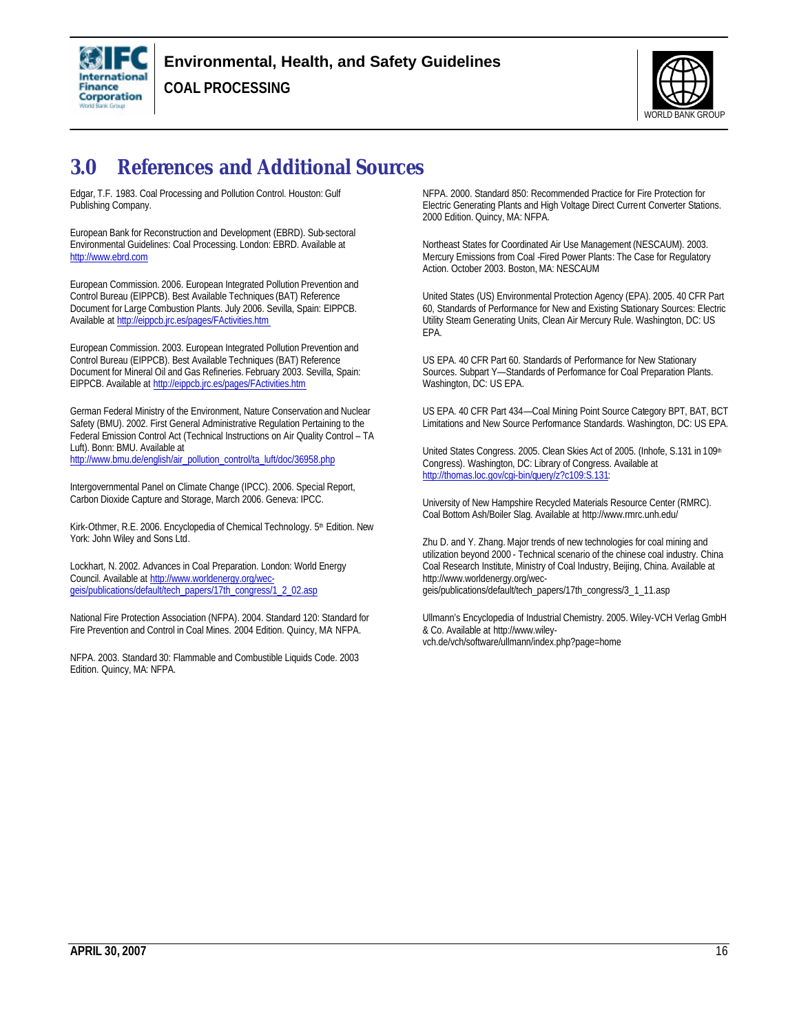

**COAL PROCESSING**



# **3.0 References and Additional Sources**

Edgar, T.F. 1983. Coal Processing and Pollution Control. Houston: Gulf Publishing Company.

European Bank for Reconstruction and Development (EBRD). Sub-sectoral Environmental Guidelines: Coal Processing. London: EBRD. Available at http://www.ebrd.com

European Commission. 2006. European Integrated Pollution Prevention and Control Bureau (EIPPCB). Best Available Techniques (BAT) Reference Document for Large Combustion Plants. July 2006. Sevilla, Spain: EIPPCB. Available at http://eippcb.jrc.es/pages/FActivities.htm

European Commission. 2003. European Integrated Pollution Prevention and Control Bureau (EIPPCB). Best Available Techniques (BAT) Reference Document for Mineral Oil and Gas Refineries. February 2003. Sevilla, Spain: EIPPCB. Available at http://eippcb.jrc.es/pages/FActivities.htm

German Federal Ministry of the Environment, Nature Conservation and Nuclear Safety (BMU). 2002. First General Administrative Regulation Pertaining to the Federal Emission Control Act (Technical Instructions on Air Quality Control – TA Luft). Bonn: BMU. Available at http://www.bmu.de/english/air\_pollution\_control/ta\_luft/doc/36958.php

Intergovernmental Panel on Climate Change (IPCC). 2006. Special Report, Carbon Dioxide Capture and Storage, March 2006. Geneva: IPCC.

Kirk-Othmer, R.E. 2006. Encyclopedia of Chemical Technology. 5<sup>th</sup> Edition. New York: John Wiley and Sons Ltd.

Lockhart, N. 2002. Advances in Coal Preparation. London: World Energy Council. Available at http://www.worldenergy.org/wecgeis/publications/default/tech\_papers/17th\_congress/1\_2\_02.asp

National Fire Protection Association (NFPA). 2004. Standard 120: Standard for Fire Prevention and Control in Coal Mines. 2004 Edition. Quincy, MA: NFPA.

NFPA. 2003. Standard 30: Flammable and Combustible Liquids Code. 2003 Edition. Quincy, MA: NFPA.

NFPA. 2000. Standard 850: Recommended Practice for Fire Protection for Electric Generating Plants and High Voltage Direct Current Converter Stations. 2000 Edition. Quincy, MA: NFPA.

Northeast States for Coordinated Air Use Management (NESCAUM). 2003. Mercury Emissions from Coal -Fired Power Plants: The Case for Regulatory Action. October 2003. Boston, MA: NESCAUM

United States (US) Environmental Protection Agency (EPA). 2005. 40 CFR Part 60, Standards of Performance for New and Existing Stationary Sources: Electric Utility Steam Generating Units, Clean Air Mercury Rule. Washington, DC: US EPA.

US EPA. 40 CFR Part 60. Standards of Performance for New Stationary Sources. Subpart Y-Standards of Performance for Coal Preparation Plants. Washington, DC: US EPA.

US EPA. 40 CFR Part 434—Coal Mining Point Source Category BPT, BAT, BCT Limitations and New Source Performance Standards. Washington, DC: US EPA.

United States Congress. 2005. Clean Skies Act of 2005. (Inhofe, S.131 in 109<sup>th</sup> Congress). Washington, DC: Library of Congress. Available at http://thomas.loc.gov/cgi-bin/query/z?c109:S.131:

University of New Hampshire Recycled Materials Resource Center (RMRC). Coal Bottom Ash/Boiler Slag. Available at http://www.rmrc.unh.edu/

Zhu D. and Y. Zhang. Major trends of new technologies for coal mining and utilization beyond 2000 - Technical scenario of the chinese coal industry. China Coal Research Institute, Ministry of Coal Industry, Beijing, China. Available at http://www.worldenergy.org/wecgeis/publications/default/tech\_papers/17th\_congress/3\_1\_11.asp

Ullmann's Encyclopedia of Industrial Chemistry. 2005. Wiley-VCH Verlag GmbH & Co. Available at http://www.wileyvch.de/vch/software/ullmann/index.php?page=home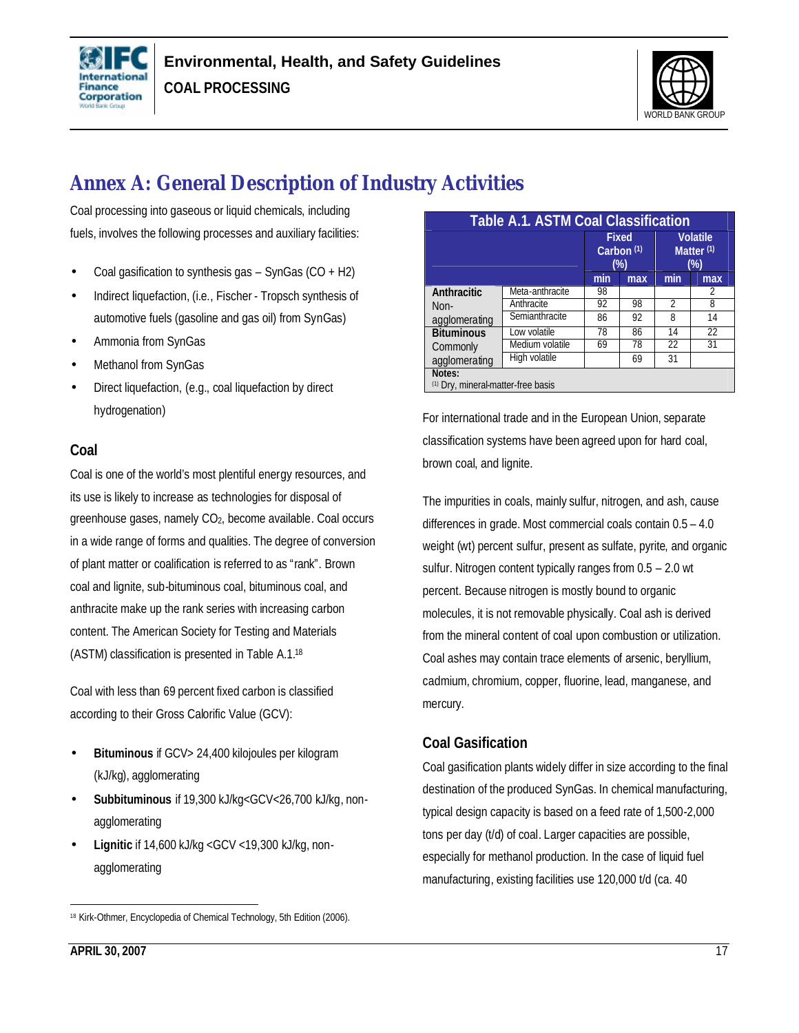



# **Annex A: General Description of Industry Activities**

Coal processing into gaseous or liquid chemicals, including fuels, involves the following processes and auxiliary facilities:

- Coal gasification to synthesis gas  $-$  SynGas (CO  $+$  H2)
- Indirect liquefaction, (i.e., Fischer Tropsch synthesis of automotive fuels (gasoline and gas oil) from SynGas)
- Ammonia from SynGas
- Methanol from SynGas
- Direct liquefaction, (e.g., coal liquefaction by direct hydrogenation)

### **Coal**

Coal is one of the world's most plentiful energy resources, and its use is likely to increase as technologies for disposal of greenhouse gases, namely CO2, become available. Coal occurs in a wide range of forms and qualities. The degree of conversion of plant matter or coalification is referred to as "rank". Brown coal and lignite, sub-bituminous coal, bituminous coal, and anthracite make up the rank series with increasing carbon content. The American Society for Testing and Materials (ASTM) classification is presented in Table A.1.<sup>18</sup>

Coal with less than 69 percent fixed carbon is classified according to their Gross Calorific Value (GCV):

- **Bituminous** if GCV> 24,400 kilojoules per kilogram (kJ/kg), agglomerating
- **Subbituminous** if 19,300 kJ/kg<GCV<26,700 kJ/kg, nonagglomerating
- **Lignitic** if 14,600 kJ/kg <GCV <19,300 kJ/kg, nonagglomerating

| <b>Table A.1. ASTM Coal Classification</b>   |                 |                                                 |     |                                                    |                 |
|----------------------------------------------|-----------------|-------------------------------------------------|-----|----------------------------------------------------|-----------------|
|                                              |                 | <b>Fixed</b><br>Carbon <sup>(1)</sup><br>$(\%)$ |     | <b>Volatile</b><br>Matter <sup>(1)</sup><br>$(\%)$ |                 |
|                                              |                 | min                                             | max | min                                                | max             |
| Anthracitic                                  | Meta-anthracite | 98                                              |     |                                                    | 2               |
| $Non-$                                       | Anthracite      | 92                                              | 98  | $\mathfrak{D}$                                     | 8               |
| agglomerating                                | Semianthracite  | 86                                              | 92  | 8                                                  | 14              |
| <b>Bituminous</b>                            | Low volatile    | 78                                              | 86  | 14                                                 | $\overline{22}$ |
| Commonly                                     | Medium volatile | 69                                              | 78  | 22                                                 | 31              |
| agglomerating                                | High volatile   |                                                 | 69  | 31                                                 |                 |
| Notes:<br>(1) Dry, mineral-matter-free basis |                 |                                                 |     |                                                    |                 |

For international trade and in the European Union, separate classification systems have been agreed upon for hard coal, brown coal, and lignite.

The impurities in coals, mainly sulfur, nitrogen, and ash, cause differences in grade. Most commercial coals contain 0.5 – 4.0 weight (wt) percent sulfur, present as sulfate, pyrite, and organic sulfur. Nitrogen content typically ranges from 0.5 – 2.0 wt percent. Because nitrogen is mostly bound to organic molecules, it is not removable physically. Coal ash is derived from the mineral content of coal upon combustion or utilization. Coal ashes may contain trace elements of arsenic, beryllium, cadmium, chromium, copper, fluorine, lead, manganese, and mercury.

### **Coal Gasification**

Coal gasification plants widely differ in size according to the final destination of the produced SynGas. In chemical manufacturing, typical design capacity is based on a feed rate of 1,500-2,000 tons per day (t/d) of coal. Larger capacities are possible, especially for methanol production. In the case of liquid fuel manufacturing, existing facilities use 120,000 t/d (ca. 40

 $\overline{a}$ 18 Kirk-Othmer, Encyclopedia of Chemical Technology, 5th Edition (2006).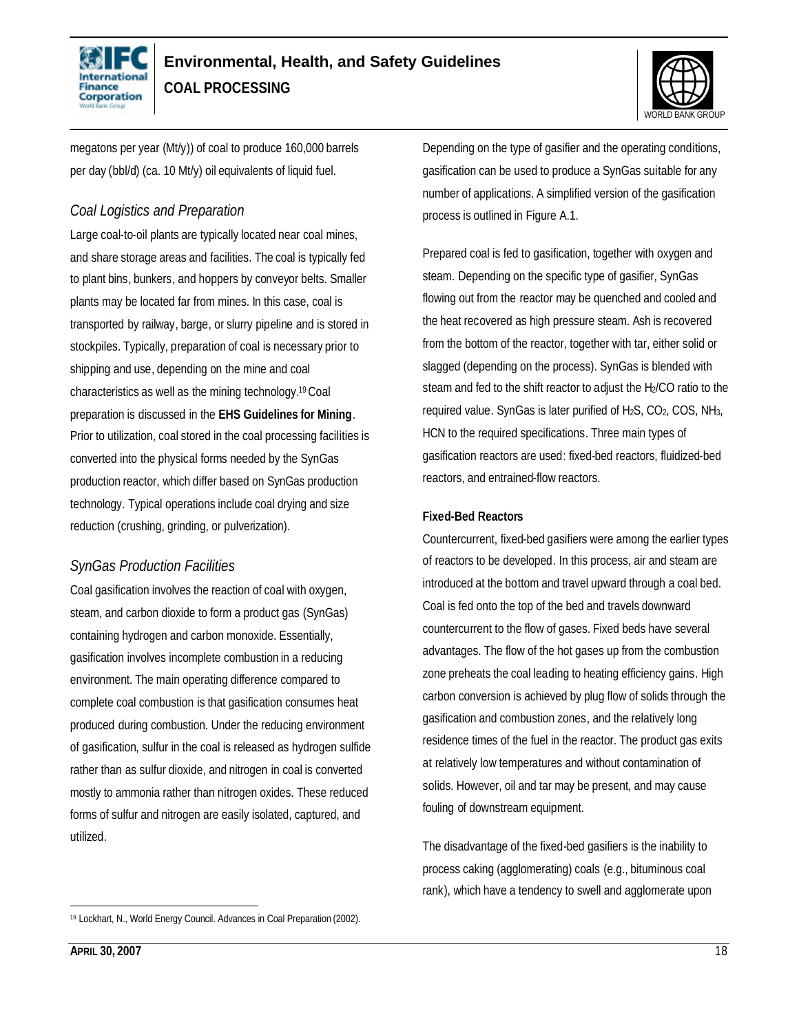



megatons per year (Mt/y)) of coal to produce 160,000 barrels per day (bbl/d) (ca. 10 Mt/y) oil equivalents of liquid fuel.

### *Coal Logistics and Preparation*

Large coal-to-oil plants are typically located near coal mines, and share storage areas and facilities. The coal is typically fed to plant bins, bunkers, and hoppers by conveyor belts. Smaller plants may be located far from mines. In this case, coal is transported by railway, barge, or slurry pipeline and is stored in stockpiles. Typically, preparation of coal is necessary prior to shipping and use, depending on the mine and coal characteristics as well as the mining technology. <sup>19</sup>Coal preparation is discussed in the **EHS Guidelines for Mining**. Prior to utilization, coal stored in the coal processing facilities is converted into the physical forms needed by the SynGas production reactor, which differ based on SynGas production technology. Typical operations include coal drying and size reduction (crushing, grinding, or pulverization).

### *SynGas Production Facilities*

Coal gasification involves the reaction of coal with oxygen, steam, and carbon dioxide to form a product gas (SynGas) containing hydrogen and carbon monoxide. Essentially, gasification involves incomplete combustion in a reducing environment. The main operating difference compared to complete coal combustion is that gasification consumes heat produced during combustion. Under the reducing environment of gasification, sulfur in the coal is released as hydrogen sulfide rather than as sulfur dioxide, and nitrogen in coal is converted mostly to ammonia rather than nitrogen oxides. These reduced forms of sulfur and nitrogen are easily isolated, captured, and utilized.

Depending on the type of gasifier and the operating conditions, gasification can be used to produce a SynGas suitable for any number of applications. A simplified version of the gasification process is outlined in Figure A.1.

Prepared coal is fed to gasification, together with oxygen and steam. Depending on the specific type of gasifier, SynGas flowing out from the reactor may be quenched and cooled and the heat recovered as high pressure steam. Ash is recovered from the bottom of the reactor, together with tar, either solid or slagged (depending on the process). SynGas is blended with steam and fed to the shift reactor to adjust the H<sub>2</sub>/CO ratio to the required value. SynGas is later purified of  $H_2S$ ,  $CO_2$ ,  $COS$ ,  $NH_3$ , HCN to the required specifications. Three main types of gasification reactors are used: fixed-bed reactors, fluidized-bed reactors, and entrained-flow reactors.

#### **Fixed-Bed Reactors**

Countercurrent, fixed-bed gasifiers were among the earlier types of reactors to be developed. In this process, air and steam are introduced at the bottom and travel upward through a coal bed. Coal is fed onto the top of the bed and travels downward countercurrent to the flow of gases. Fixed beds have several advantages. The flow of the hot gases up from the combustion zone preheats the coal leading to heating efficiency gains. High carbon conversion is achieved by plug flow of solids through the gasification and combustion zones, and the relatively long residence times of the fuel in the reactor. The product gas exits at relatively low temperatures and without contamination of solids. However, oil and tar may be present, and may cause fouling of downstream equipment.

The disadvantage of the fixed-bed gasifiers is the inability to process caking (agglomerating) coals (e.g., bituminous coal rank), which have a tendency to swell and agglomerate upon

l

<sup>19</sup> Lockhart, N., World Energy Council. Advances in Coal Preparation (2002).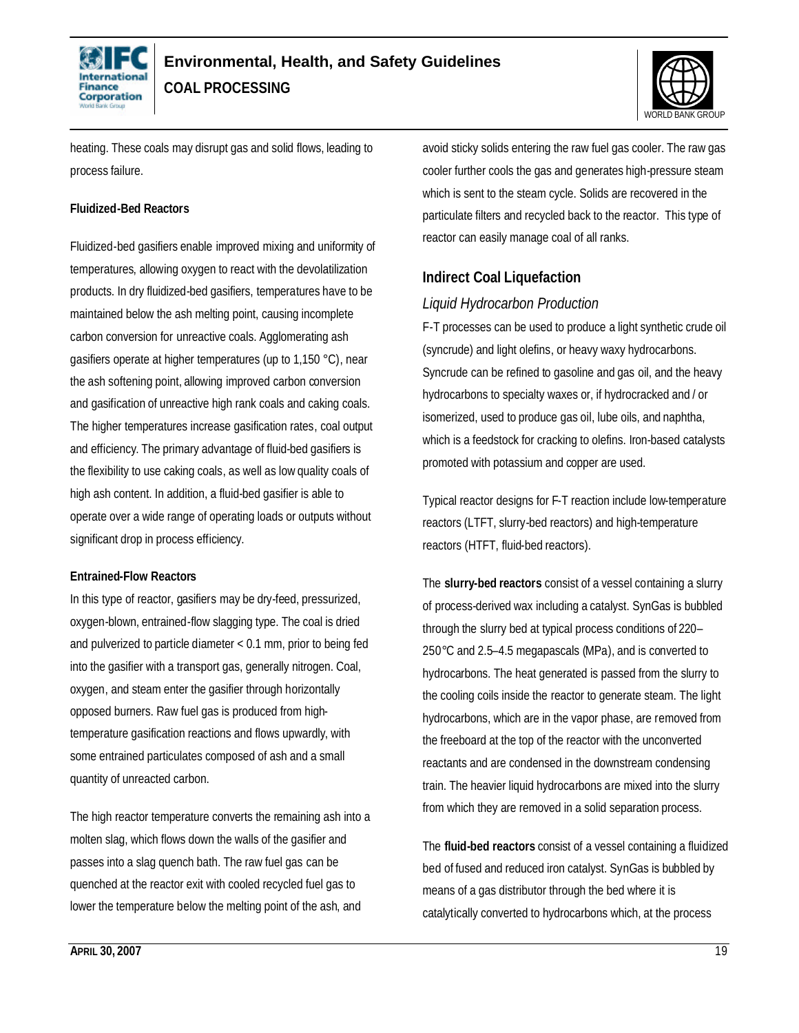



heating. These coals may disrupt gas and solid flows, leading to process failure.

#### **Fluidized-Bed Reactors**

Fluidized-bed gasifiers enable improved mixing and uniformity of temperatures, allowing oxygen to react with the devolatilization products. In dry fluidized-bed gasifiers, temperatures have to be maintained below the ash melting point, causing incomplete carbon conversion for unreactive coals. Agglomerating ash gasifiers operate at higher temperatures (up to 1,150 °C), near the ash softening point, allowing improved carbon conversion and gasification of unreactive high rank coals and caking coals. The higher temperatures increase gasification rates, coal output and efficiency. The primary advantage of fluid-bed gasifiers is the flexibility to use caking coals, as well as low quality coals of high ash content. In addition, a fluid-bed gasifier is able to operate over a wide range of operating loads or outputs without significant drop in process efficiency.

#### **Entrained-Flow Reactors**

In this type of reactor, gasifiers may be dry-feed, pressurized, oxygen-blown, entrained-flow slagging type. The coal is dried and pulverized to particle diameter < 0.1 mm, prior to being fed into the gasifier with a transport gas, generally nitrogen. Coal, oxygen, and steam enter the gasifier through horizontally opposed burners. Raw fuel gas is produced from hightemperature gasification reactions and flows upwardly, with some entrained particulates composed of ash and a small quantity of unreacted carbon.

The high reactor temperature converts the remaining ash into a molten slag, which flows down the walls of the gasifier and passes into a slag quench bath. The raw fuel gas can be quenched at the reactor exit with cooled recycled fuel gas to lower the temperature below the melting point of the ash, and

avoid sticky solids entering the raw fuel gas cooler. The raw gas cooler further cools the gas and generates high-pressure steam which is sent to the steam cycle. Solids are recovered in the particulate filters and recycled back to the reactor. This type of reactor can easily manage coal of all ranks.

### **Indirect Coal Liquefaction**

### *Liquid Hydrocarbon Production*

F-T processes can be used to produce a light synthetic crude oil (syncrude) and light olefins, or heavy waxy hydrocarbons. Syncrude can be refined to gasoline and gas oil, and the heavy hydrocarbons to specialty waxes or, if hydrocracked and / or isomerized, used to produce gas oil, lube oils, and naphtha, which is a feedstock for cracking to olefins. Iron-based catalysts promoted with potassium and copper are used.

Typical reactor designs for F-T reaction include low-temperature reactors (LTFT, slurry-bed reactors) and high-temperature reactors (HTFT, fluid-bed reactors).

The **slurry-bed reactors** consist of a vessel containing a slurry of process-derived wax including a catalyst. SynGas is bubbled through the slurry bed at typical process conditions of 220– 250*°*C and 2.5–4.5 megapascals (MPa), and is converted to hydrocarbons. The heat generated is passed from the slurry to the cooling coils inside the reactor to generate steam. The light hydrocarbons, which are in the vapor phase, are removed from the freeboard at the top of the reactor with the unconverted reactants and are condensed in the downstream condensing train. The heavier liquid hydrocarbons are mixed into the slurry from which they are removed in a solid separation process.

The **fluid-bed reactors** consist of a vessel containing a fluidized bed of fused and reduced iron catalyst. SynGas is bubbled by means of a gas distributor through the bed where it is catalytically converted to hydrocarbons which, at the process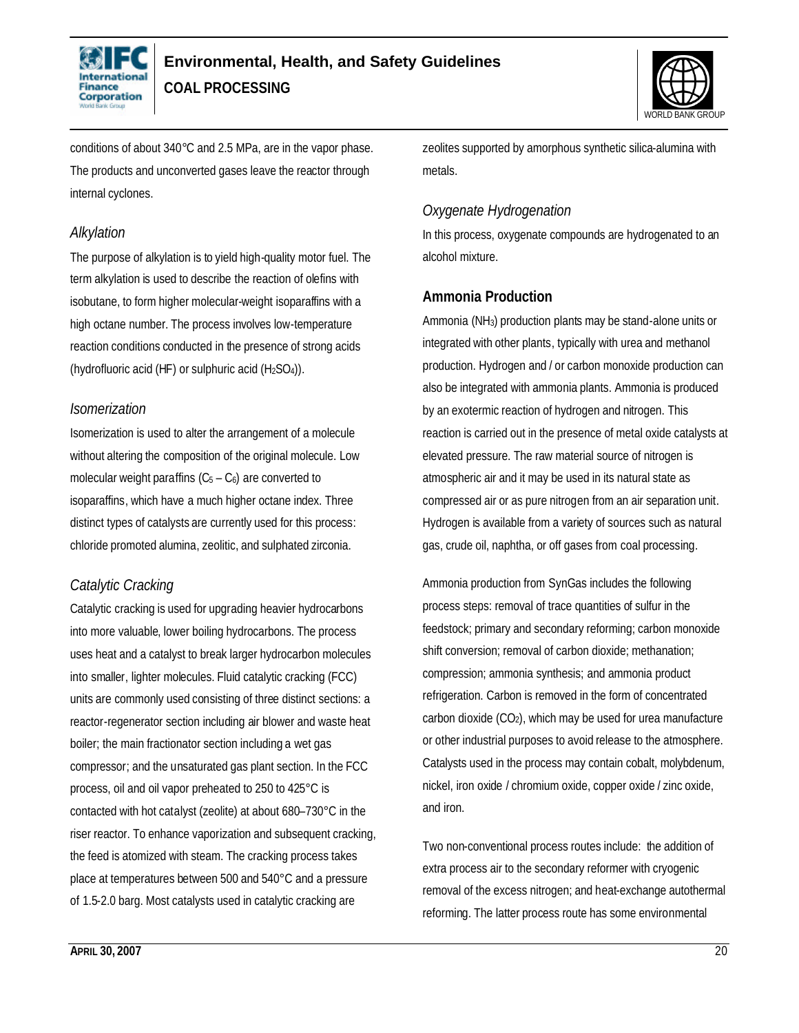



conditions of about 340*°*C and 2.5 MPa, are in the vapor phase. The products and unconverted gases leave the reactor through internal cyclones.

### *Alkylation*

The purpose of alkylation is to yield high-quality motor fuel. The term alkylation is used to describe the reaction of olefins with isobutane, to form higher molecular-weight isoparaffins with a high octane number. The process involves low-temperature reaction conditions conducted in the presence of strong acids (hydrofluoric acid (HF) or sulphuric acid (H2SO4)).

### *Isomerization*

Isomerization is used to alter the arrangement of a molecule without altering the composition of the original molecule. Low molecular weight paraffins  $(C_5 - C_6)$  are converted to isoparaffins, which have a much higher octane index. Three distinct types of catalysts are currently used for this process: chloride promoted alumina, zeolitic, and sulphated zirconia.

### *Catalytic Cracking*

Catalytic cracking is used for upgrading heavier hydrocarbons into more valuable, lower boiling hydrocarbons. The process uses heat and a catalyst to break larger hydrocarbon molecules into smaller, lighter molecules. Fluid catalytic cracking (FCC) units are commonly used consisting of three distinct sections: a reactor-regenerator section including air blower and waste heat boiler; the main fractionator section including a wet gas compressor; and the unsaturated gas plant section. In the FCC process, oil and oil vapor preheated to 250 to 425°C is contacted with hot catalyst (zeolite) at about 680–730°C in the riser reactor. To enhance vaporization and subsequent cracking, the feed is atomized with steam. The cracking process takes place at temperatures between 500 and 540°C and a pressure of 1.5-2.0 barg. Most catalysts used in catalytic cracking are

zeolites supported by amorphous synthetic silica-alumina with metals.

### *Oxygenate Hydrogenation*

In this process, oxygenate compounds are hydrogenated to an alcohol mixture.

### **Ammonia Production**

Ammonia (NH3) production plants may be stand-alone units or integrated with other plants, typically with urea and methanol production. Hydrogen and / or carbon monoxide production can also be integrated with ammonia plants. Ammonia is produced by an exotermic reaction of hydrogen and nitrogen. This reaction is carried out in the presence of metal oxide catalysts at elevated pressure. The raw material source of nitrogen is atmospheric air and it may be used in its natural state as compressed air or as pure nitrogen from an air separation unit. Hydrogen is available from a variety of sources such as natural gas, crude oil, naphtha, or off gases from coal processing.

Ammonia production from SynGas includes the following process steps: removal of trace quantities of sulfur in the feedstock; primary and secondary reforming; carbon monoxide shift conversion; removal of carbon dioxide; methanation; compression; ammonia synthesis; and ammonia product refrigeration. Carbon is removed in the form of concentrated carbon dioxide  $(CO<sub>2</sub>)$ , which may be used for urea manufacture or other industrial purposes to avoid release to the atmosphere. Catalysts used in the process may contain cobalt, molybdenum, nickel, iron oxide / chromium oxide, copper oxide / zinc oxide, and iron.

Two non-conventional process routes include: the addition of extra process air to the secondary reformer with cryogenic removal of the excess nitrogen; and heat-exchange autothermal reforming. The latter process route has some environmental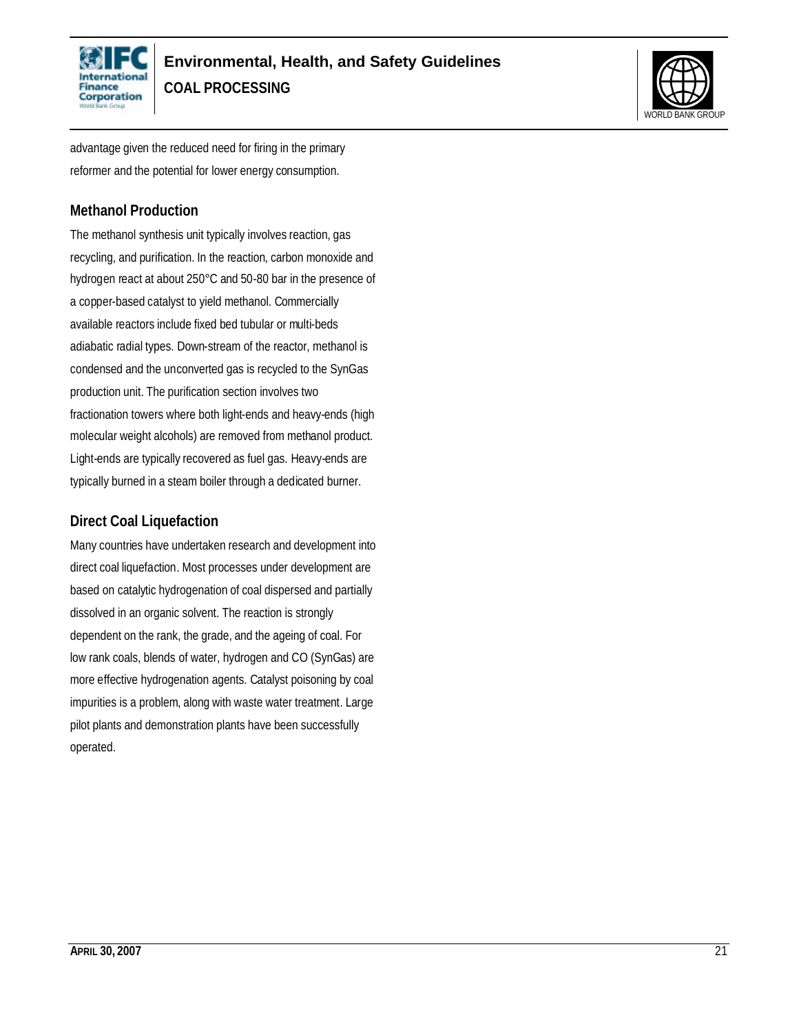



advantage given the reduced need for firing in the primary reformer and the potential for lower energy consumption.

### **Methanol Production**

The methanol synthesis unit typically involves reaction, gas recycling, and purification. In the reaction, carbon monoxide and hydrogen react at about 250°C and 50-80 bar in the presence of a copper-based catalyst to yield methanol. Commercially available reactors include fixed bed tubular or multi-beds adiabatic radial types. Down-stream of the reactor, methanol is condensed and the unconverted gas is recycled to the SynGas production unit. The purification section involves two fractionation towers where both light-ends and heavy-ends (high molecular weight alcohols) are removed from methanol product. Light-ends are typically recovered as fuel gas. Heavy-ends are typically burned in a steam boiler through a dedicated burner.

### **Direct Coal Liquefaction**

Many countries have undertaken research and development into direct coal liquefaction. Most processes under development are based on catalytic hydrogenation of coal dispersed and partially dissolved in an organic solvent. The reaction is strongly dependent on the rank, the grade, and the ageing of coal. For low rank coals, blends of water, hydrogen and CO (SynGas) are more effective hydrogenation agents. Catalyst poisoning by coal impurities is a problem, along with waste water treatment. Large pilot plants and demonstration plants have been successfully operated.